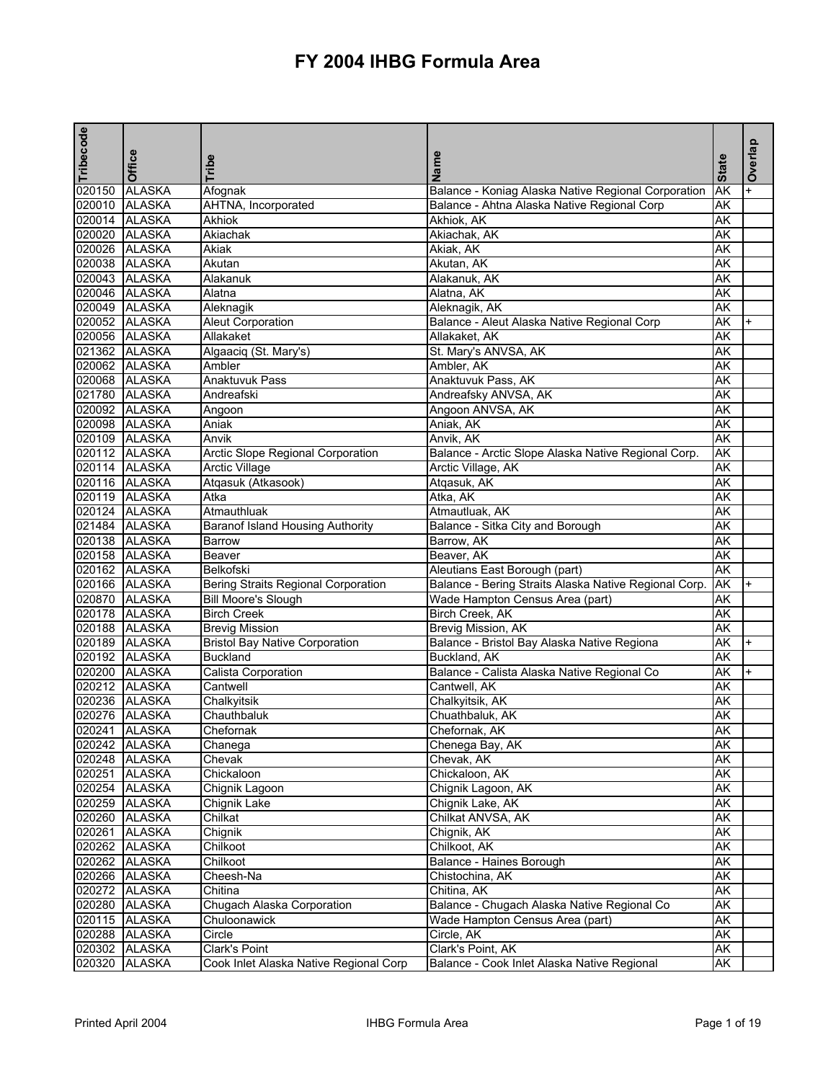| Tribecode | Office                         | Tribe                                      | Name                                                  | <b>State</b> | Overlap   |
|-----------|--------------------------------|--------------------------------------------|-------------------------------------------------------|--------------|-----------|
| 020150    | <b>ALASKA</b>                  | Afognak                                    | Balance - Koniag Alaska Native Regional Corporation   | AK           | $\ddot{}$ |
|           | 020010 ALASKA                  | AHTNA, Incorporated                        | Balance - Ahtna Alaska Native Regional Corp           | AK           |           |
|           | 020014 ALASKA                  | Akhiok                                     | Akhiok, AK                                            | AK           |           |
|           | 020020 ALASKA                  | Akiachak                                   | Akiachak, AK                                          | AΚ           |           |
|           | 020026 ALASKA                  | Akiak                                      | Akiak, AK                                             | AΚ           |           |
|           | 020038 ALASKA                  | Akutan                                     | Akutan, AK                                            | AK           |           |
|           | 020043 ALASKA                  | Alakanuk                                   | Alakanuk, AK                                          | AK           |           |
|           | 020046 ALASKA                  | Alatna                                     | Alatna, AK                                            | AK           |           |
|           | 020049 ALASKA                  | Aleknagik                                  | Aleknagik, AK                                         | AK           |           |
|           | 020052 ALASKA                  | <b>Aleut Corporation</b>                   | Balance - Aleut Alaska Native Regional Corp           | AK           | $\ddot{}$ |
|           | 020056 ALASKA                  | Allakaket                                  | Allakaket, AK                                         | AK           |           |
|           | 021362 ALASKA                  | Algaaciq (St. Mary's)                      | St. Mary's ANVSA, AK                                  | AK           |           |
|           | 020062 ALASKA                  | Ambler                                     | Ambler, AK                                            | AΚ           |           |
|           | 020068 ALASKA                  | Anaktuvuk Pass                             | Anaktuvuk Pass, AK                                    | AK           |           |
|           | 021780 ALASKA                  | Andreafski                                 | Andreafsky ANVSA, AK                                  | AK           |           |
|           | 020092 ALASKA                  | Angoon                                     | Angoon ANVSA, AK                                      | AK           |           |
|           | 020098 ALASKA                  | Aniak                                      | Aniak, AK                                             | AK           |           |
|           | 020109 ALASKA                  | Anvik                                      | Anvik, AK                                             | <b>AK</b>    |           |
|           | 020112 ALASKA                  | <b>Arctic Slope Regional Corporation</b>   | Balance - Arctic Slope Alaska Native Regional Corp.   | AK           |           |
|           | 020114 ALASKA                  | <b>Arctic Village</b>                      | Arctic Village, AK                                    | AK           |           |
|           | 020116 ALASKA                  | Atqasuk (Atkasook)                         | Atgasuk, AK                                           | AK           |           |
|           | 020119 ALASKA                  | Atka                                       | Atka, AK                                              | AK           |           |
|           |                                |                                            |                                                       |              |           |
|           | 020124 ALASKA<br>021484 ALASKA | Atmauthluak                                | Atmautluak, AK                                        | AK           |           |
|           |                                | <b>Baranof Island Housing Authority</b>    | Balance - Sitka City and Borough                      | AK           |           |
|           | 020138 ALASKA                  | Barrow                                     | Barrow, AK                                            | AK           |           |
|           | 020158 ALASKA                  | Beaver                                     | Beaver, AK                                            | AK           |           |
|           | 020162 ALASKA                  | Belkofski                                  | Aleutians East Borough (part)                         | AK           |           |
|           | 020166 ALASKA                  | <b>Bering Straits Regional Corporation</b> | Balance - Bering Straits Alaska Native Regional Corp. | AK           |           |
|           | 020870 ALASKA                  | <b>Bill Moore's Slough</b>                 | Wade Hampton Census Area (part)                       | AK           |           |
|           | 020178 ALASKA                  | <b>Birch Creek</b>                         | Birch Creek, AK                                       | AK           |           |
|           | 020188 ALASKA                  | <b>Brevig Mission</b>                      | Brevig Mission, AK                                    | AK           |           |
|           | 020189 ALASKA                  | <b>Bristol Bay Native Corporation</b>      | Balance - Bristol Bay Alaska Native Regiona           | AK           | $+$       |
|           | 020192 ALASKA                  | <b>Buckland</b>                            | Buckland, AK                                          | AK           |           |
|           | 020200 ALASKA                  | Calista Corporation                        | Balance - Calista Alaska Native Regional Co           | AK           | $\ddot{}$ |
|           | 020212 ALASKA                  | Cantwell                                   | Cantwell, AK                                          | AK           |           |
|           | 020236 ALASKA                  | Chalkyitsik                                | Chalkyitsik, AK                                       | AK           |           |
|           | 020276 ALASKA                  | Chauthbaluk                                | Chuathbaluk, AK                                       | AK           |           |
|           | 020241 ALASKA                  | Chefornak                                  | Chefornak, AK                                         | AK           |           |
|           | 020242 ALASKA                  | Chanega                                    | Chenega Bay, AK                                       | AK           |           |
|           | 020248 ALASKA                  | Chevak                                     | Chevak, AK                                            | АK           |           |
|           | 020251 ALASKA                  | Chickaloon                                 | Chickaloon, AK                                        | АK           |           |
|           | 020254 ALASKA                  | Chignik Lagoon                             | Chignik Lagoon, AK                                    | АK           |           |
|           | 020259 ALASKA                  | Chignik Lake                               | Chignik Lake, AK                                      | AK           |           |
|           | 020260 ALASKA                  | Chilkat                                    | Chilkat ANVSA, AK                                     | AK           |           |
|           | 020261 ALASKA                  | Chignik                                    | Chignik, AK                                           | АK           |           |
|           | 020262 ALASKA                  | Chilkoot                                   | Chilkoot, AK                                          | AK           |           |
|           | 020262 ALASKA                  | Chilkoot                                   | Balance - Haines Borough                              | <b>AK</b>    |           |
|           | 020266 ALASKA                  | Cheesh-Na                                  | Chistochina, AK                                       | AK           |           |
|           | 020272 ALASKA                  | Chitina                                    | Chitina, AK                                           | АK           |           |
|           | 020280 ALASKA                  | Chugach Alaska Corporation                 | Balance - Chugach Alaska Native Regional Co           | AΚ           |           |
|           | 020115 ALASKA                  | Chuloonawick                               | Wade Hampton Census Area (part)                       | AK           |           |
|           |                                |                                            |                                                       |              |           |
|           | 020288 ALASKA                  | Circle                                     | Circle, AK                                            | AK           |           |
|           | 020302 ALASKA                  | <b>Clark's Point</b>                       | Clark's Point, AK                                     | AK           |           |
|           | 020320 ALASKA                  | Cook Inlet Alaska Native Regional Corp     | Balance - Cook Inlet Alaska Native Regional           | AK           |           |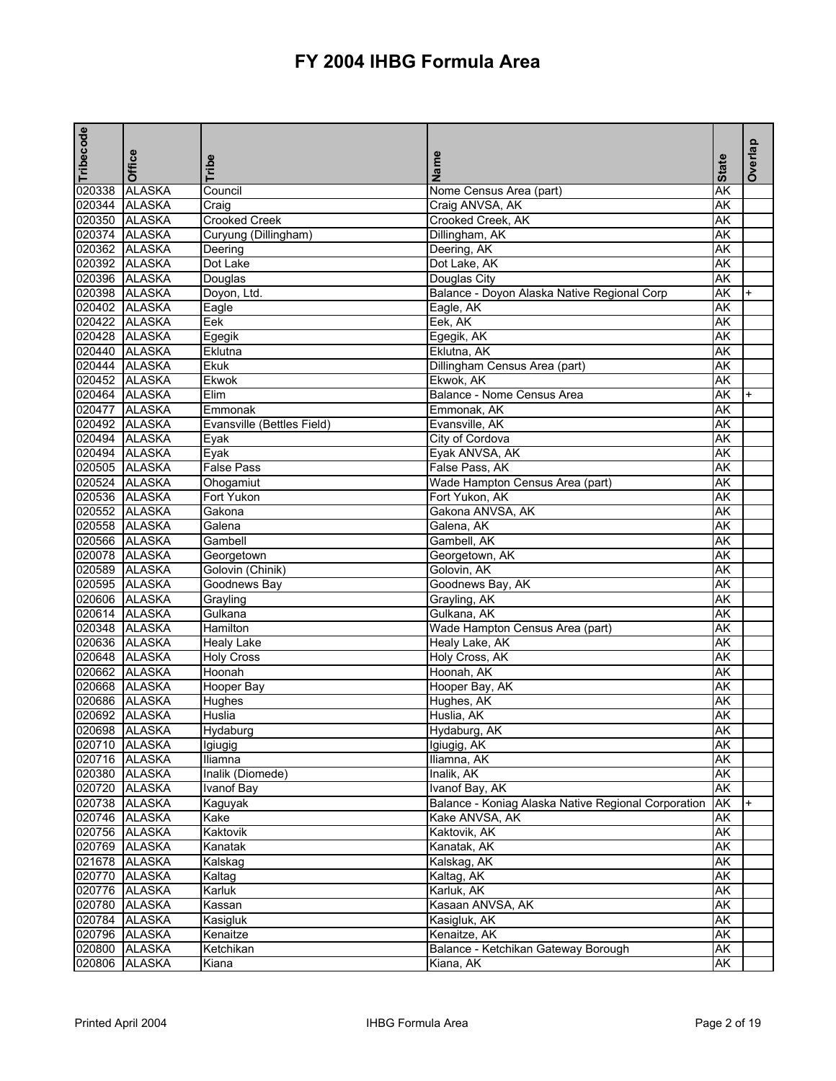| Tribecode     | Office        |                            | Name                                                |              | Overlap |
|---------------|---------------|----------------------------|-----------------------------------------------------|--------------|---------|
|               |               | Tribe                      |                                                     | <b>State</b> |         |
| 020338        | <b>ALASKA</b> | Council                    | Nome Census Area (part)                             | AK           |         |
|               | 020344 ALASKA | Craig                      | Craig ANVSA, AK                                     | AK           |         |
|               | 020350 ALASKA | <b>Crooked Creek</b>       | Crooked Creek, AK                                   | AK           |         |
|               | 020374 ALASKA | Curyung (Dillingham)       | Dillingham, AK                                      | AK           |         |
|               | 020362 ALASKA | Deering                    | Deering, AK                                         | AK           |         |
|               | 020392 ALASKA | Dot Lake                   | Dot Lake, AK                                        | AK           |         |
|               | 020396 ALASKA | Douglas                    | Douglas City                                        | AK           |         |
|               | 020398 ALASKA | Doyon, Ltd.                | Balance - Doyon Alaska Native Regional Corp         | AK           |         |
|               | 020402 ALASKA | Eagle                      | Eagle, AK                                           | AK           |         |
|               | 020422 ALASKA | Eek                        | Eek, AK                                             | AK           |         |
|               | 020428 ALASKA | Egegik                     | Egegik, AK                                          | AK           |         |
|               | 020440 ALASKA | Eklutna                    | Eklutna, AK                                         | AK           |         |
|               | 020444 ALASKA | Ekuk                       | Dillingham Census Area (part)                       | AK           |         |
|               | 020452 ALASKA | Ekwok                      | Ekwok, AK                                           | AK           |         |
| 020464 ALASKA |               | Elim                       | Balance - Nome Census Area                          | AK           |         |
|               | 020477 ALASKA | Emmonak                    | Emmonak, AK                                         | AK           |         |
|               | 020492 ALASKA | Evansville (Bettles Field) | Evansville, AK                                      | AK           |         |
|               | 020494 ALASKA | Eyak                       | City of Cordova                                     | AK           |         |
|               | 020494 ALASKA | Eyak                       | Eyak ANVSA, AK                                      | AK           |         |
| 020505 ALASKA |               | <b>False Pass</b>          | False Pass, AK                                      | AK           |         |
|               | 020524 ALASKA | Ohogamiut                  | Wade Hampton Census Area (part)                     | AK           |         |
|               | 020536 ALASKA | Fort Yukon                 | Fort Yukon, AK                                      | AK           |         |
|               | 020552 ALASKA | Gakona                     | Gakona ANVSA, AK                                    | AK           |         |
| 020558 ALASKA |               | Galena                     | Galena, AK                                          | AK           |         |
| 020566 ALASKA |               | Gambell                    | Gambell, AK                                         | AK           |         |
|               | 020078 ALASKA | Georgetown                 | Georgetown, AK                                      | AK           |         |
|               | 020589 ALASKA | Golovin (Chinik)           | Golovin, AK                                         | AK           |         |
|               | 020595 ALASKA | Goodnews Bay               | Goodnews Bay, AK                                    | AK           |         |
|               | 020606 ALASKA | Grayling                   | Grayling, AK                                        | AK           |         |
|               | 020614 ALASKA | Gulkana                    | Gulkana, AK                                         | AK           |         |
|               | 020348 ALASKA | Hamilton                   | Wade Hampton Census Area (part)                     | AK           |         |
|               | 020636 ALASKA | <b>Healy Lake</b>          | Healy Lake, AK                                      | AK           |         |
|               | 020648 ALASKA | <b>Holy Cross</b>          | Holy Cross, AK                                      | AK           |         |
| 020662 ALASKA |               | Hoonah                     | Hoonah, AK                                          | AK           |         |
|               | 020668 ALASKA | Hooper Bay                 | Hooper Bay, AK                                      | AK           |         |
|               | 020686 ALASKA | Hughes                     | Hughes, AK                                          | AK           |         |
|               | 020692 ALASKA | <b>Huslia</b>              | Huslia, AK                                          | AK           |         |
|               | 020698 ALASKA | Hydaburg                   | Hydaburg, AK                                        | AK           |         |
|               | 020710 ALASKA | Igiugig                    | Igiugig, AK                                         | AK           |         |
|               | 020716 ALASKA | Iliamna                    | Iliamna, AK                                         | AK           |         |
|               | 020380 ALASKA | Inalik (Diomede)           | Inalik, AK                                          | AK           |         |
|               | 020720 ALASKA | Ivanof Bay                 | Ivanof Bay, AK                                      | AK           |         |
|               | 020738 ALASKA | Kaguyak                    | Balance - Koniag Alaska Native Regional Corporation | AK           | $+$     |
|               | 020746 ALASKA | Kake                       | Kake ANVSA, AK                                      | AK           |         |
|               | 020756 ALASKA | Kaktovik                   | Kaktovik, AK                                        | AΚ           |         |
|               | 020769 ALASKA | Kanatak                    | Kanatak, AK                                         | AΚ           |         |
|               | 021678 ALASKA | Kalskag                    | Kalskag, AK                                         | AK           |         |
|               | 020770 ALASKA | Kaltag                     | Kaltag, AK                                          | AK           |         |
|               | 020776 ALASKA | Karluk                     | Karluk, AK                                          | AΚ           |         |
|               | 020780 ALASKA | Kassan                     | Kasaan ANVSA, AK                                    | AK           |         |
|               | 020784 ALASKA | Kasigluk                   | Kasigluk, AK                                        | AK           |         |
|               | 020796 ALASKA | Kenaitze                   | Kenaitze, AK                                        | AK           |         |
|               | 020800 ALASKA | Ketchikan                  | Balance - Ketchikan Gateway Borough                 | AK           |         |
| 020806        | <b>ALASKA</b> | Kiana                      | Kiana, AK                                           | AK           |         |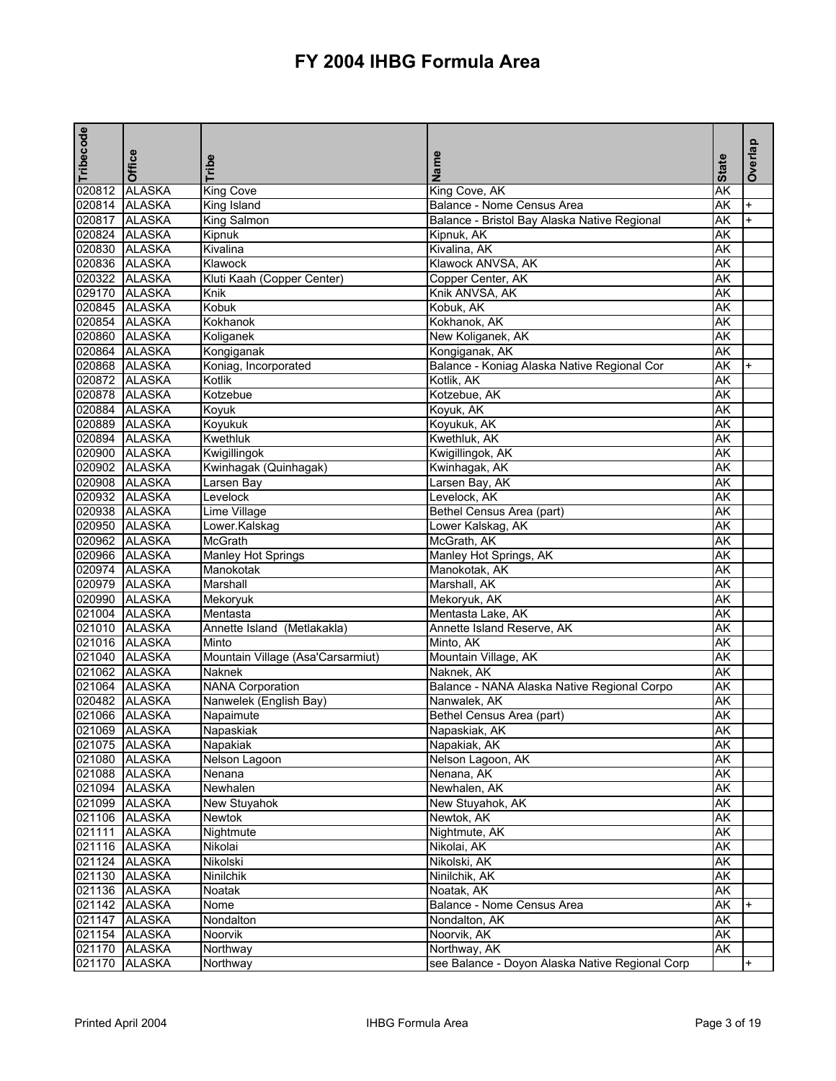| Tribecode | Office        | Tribe                             | Name                                            | <b>State</b> | Overlap   |
|-----------|---------------|-----------------------------------|-------------------------------------------------|--------------|-----------|
|           | 020812 ALASKA | <b>King Cove</b>                  | King Cove, AK                                   | AK           |           |
|           | 020814 ALASKA | King Island                       | Balance - Nome Census Area                      | AK           | $+$       |
|           | 020817 ALASKA | King Salmon                       | Balance - Bristol Bay Alaska Native Regional    | AK           | $\ddot{}$ |
|           | 020824 ALASKA | Kipnuk                            | Kipnuk, AK                                      | AK           |           |
|           | 020830 ALASKA | Kivalina                          | Kivalina, AK                                    | AK           |           |
|           | 020836 ALASKA | Klawock                           | Klawock ANVSA, AK                               | AΚ           |           |
|           | 020322 ALASKA | Kluti Kaah (Copper Center)        | Copper Center, AK                               | AK           |           |
|           | 029170 ALASKA | Knik                              | Knik ANVSA, AK                                  | AK           |           |
|           | 020845 ALASKA | Kobuk                             | Kobuk, AK                                       | AK           |           |
|           | 020854 ALASKA | Kokhanok                          | Kokhanok, AK                                    | AK           |           |
|           | 020860 ALASKA | Koliganek                         | New Koliganek, AK                               | AK           |           |
|           | 020864 ALASKA | Kongiganak                        | Kongiganak, AK                                  | AK           |           |
|           | 020868 ALASKA | Koniag, Incorporated              | Balance - Koniag Alaska Native Regional Cor     | AΚ           |           |
|           | 020872 ALASKA | Kotlik                            | Kotlik, AK                                      | AK           |           |
|           | 020878 ALASKA | Kotzebue                          | Kotzebue, AK                                    | AK           |           |
|           | 020884 ALASKA | Koyuk                             | Koyuk, AK                                       | AK           |           |
|           | 020889 ALASKA | Koyukuk                           | Koyukuk, AK                                     | ΑK           |           |
|           | 020894 ALASKA | Kwethluk                          | Kwethluk, AK                                    | AK           |           |
|           | 020900 ALASKA | Kwigillingok                      | Kwigillingok, AK                                | AK           |           |
|           | 020902 ALASKA | Kwinhagak (Quinhagak)             | Kwinhagak, AK                                   | AK           |           |
|           | 020908 ALASKA | Larsen Bay                        | Larsen Bay, AK                                  | AK           |           |
|           | 020932 ALASKA | Levelock                          | Levelock, AK                                    | AΚ           |           |
|           | 020938 ALASKA | Lime Village                      | Bethel Census Area (part)                       | AK           |           |
|           | 020950 ALASKA | Lower.Kalskag                     | Lower Kalskag, AK                               | AΚ           |           |
|           | 020962 ALASKA | McGrath                           | McGrath, AK                                     | AK           |           |
|           | 020966 ALASKA | Manley Hot Springs                | Manley Hot Springs, AK                          | AK           |           |
|           | 020974 ALASKA | Manokotak                         | Manokotak, AK                                   | AK           |           |
|           | 020979 ALASKA | Marshall                          | Marshall, AK                                    | AK           |           |
|           | 020990 ALASKA | Mekoryuk                          | Mekoryuk, AK                                    | AK           |           |
|           | 021004 ALASKA | Mentasta                          | Mentasta Lake, AK                               | AK           |           |
|           | 021010 ALASKA | Annette Island (Metlakakla)       | Annette Island Reserve, AK                      | AΚ           |           |
|           | 021016 ALASKA | Minto                             | Minto, AK                                       | AK           |           |
|           | 021040 ALASKA | Mountain Village (Asa'Carsarmiut) | Mountain Village, AK                            | AK           |           |
|           | 021062 ALASKA | Naknek                            | Naknek, AK                                      | AK           |           |
|           | 021064 ALASKA | <b>NANA Corporation</b>           | Balance - NANA Alaska Native Regional Corpo     | AK           |           |
|           | 020482 ALASKA | Nanwelek (English Bay)            | Nanwalek, AK                                    | AK           |           |
|           | 021066 ALASKA | Napaimute                         | Bethel Census Area (part)                       | AK           |           |
|           | 021069 ALASKA | Napaskiak                         | Napaskiak, AK                                   | AK           |           |
|           | 021075 ALASKA | Napakiak                          | Napakiak, AK                                    | AK           |           |
|           | 021080 ALASKA | Nelson Lagoon                     | Nelson Lagoon, AK                               | AK           |           |
|           | 021088 ALASKA | Nenana                            | Nenana, AK                                      | AK           |           |
|           | 021094 ALASKA | Newhalen                          | Newhalen, AK                                    | AΚ           |           |
|           | 021099 ALASKA | New Stuyahok                      | New Stuyahok, AK                                | AK           |           |
|           | 021106 ALASKA | Newtok                            | Newtok, AK                                      | AΚ           |           |
|           | 021111 ALASKA | Nightmute                         | Nightmute, AK                                   | AΚ           |           |
|           | 021116 ALASKA | Nikolai                           | Nikolai, AK                                     | AΚ           |           |
|           | 021124 ALASKA | Nikolski                          | Nikolski, AK                                    | AK           |           |
|           | 021130 ALASKA | Ninilchik                         | Ninilchik, AK                                   | AK           |           |
|           | 021136 ALASKA | Noatak                            | Noatak, AK                                      | AΚ           |           |
|           | 021142 ALASKA | Nome                              | Balance - Nome Census Area                      | AK           |           |
|           | 021147 ALASKA | Nondalton                         | Nondalton, AK                                   | AΚ           |           |
|           | 021154 ALASKA | Noorvik                           | Noorvik, AK                                     | AK           |           |
|           | 021170 ALASKA | Northway                          | Northway, AK                                    | AK           |           |
|           | 021170 ALASKA | Northway                          | see Balance - Doyon Alaska Native Regional Corp |              | +         |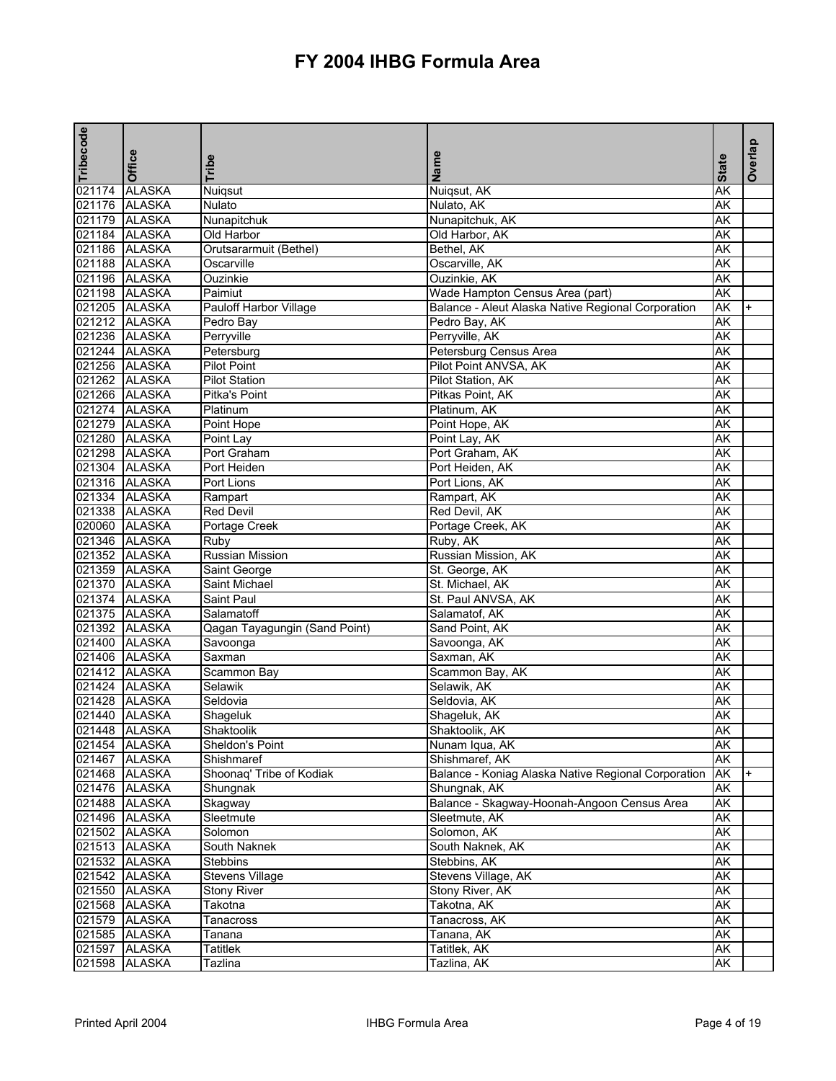| Tribecode     |               |                               |                                                     |              | Overlap   |
|---------------|---------------|-------------------------------|-----------------------------------------------------|--------------|-----------|
|               | Office        | Tribe                         | Name                                                | <b>State</b> |           |
| 021174        | <b>ALASKA</b> |                               |                                                     | <b>AK</b>    |           |
| 021176 ALASKA |               | Nuiqsut<br>Nulato             | Nuiqsut, AK<br>Nulato, AK                           | AK           |           |
|               | 021179 ALASKA | Nunapitchuk                   | Nunapitchuk, AK                                     | AK           |           |
|               | 021184 ALASKA | Old Harbor                    | Old Harbor, AK                                      | AK           |           |
|               | 021186 ALASKA | Orutsararmuit (Bethel)        | Bethel, AK                                          | AK           |           |
| 021188 ALASKA |               | Oscarville                    | Oscarville, AK                                      | AK           |           |
| 021196 ALASKA |               | Ouzinkie                      | Ouzinkie, AK                                        | AK           |           |
|               | 021198 ALASKA | Paimiut                       | Wade Hampton Census Area (part)                     | AK           |           |
| 021205 ALASKA |               | <b>Pauloff Harbor Village</b> | Balance - Aleut Alaska Native Regional Corporation  | ΑK           | $+$       |
| 021212 ALASKA |               | Pedro Bay                     | Pedro Bay, AK                                       | AK           |           |
| 021236 ALASKA |               | Perryville                    | Perryville, AK                                      | AK           |           |
| 021244 ALASKA |               | Petersburg                    | Petersburg Census Area                              | AK           |           |
|               | 021256 ALASKA | <b>Pilot Point</b>            | Pilot Point ANVSA, AK                               | AK           |           |
|               | 021262 ALASKA | <b>Pilot Station</b>          | Pilot Station, AK                                   | AK           |           |
| 021266 ALASKA |               | Pitka's Point                 | Pitkas Point, AK                                    | AK           |           |
| 021274 ALASKA |               | Platinum                      | Platinum, AK                                        | AK           |           |
|               | 021279 ALASKA | Point Hope                    | Point Hope, AK                                      | <b>AK</b>    |           |
| 021280 ALASKA |               | Point Lay                     | Point Lay, AK                                       | AK           |           |
| 021298 ALASKA |               | Port Graham                   | Port Graham, AK                                     | AK           |           |
| 021304 ALASKA |               | Port Heiden                   | Port Heiden, AK                                     | AK           |           |
|               | 021316 ALASKA | Port Lions                    | Port Lions, AK                                      | AK           |           |
|               | 021334 ALASKA | Rampart                       | Rampart, AK                                         | AK           |           |
|               | 021338 ALASKA | <b>Red Devil</b>              | Red Devil, AK                                       | AK           |           |
| 020060 ALASKA |               | <b>Portage Creek</b>          | Portage Creek, AK                                   | AK           |           |
| 021346 ALASKA |               | Ruby                          | Ruby, AK                                            | AK           |           |
| 021352 ALASKA |               | Russian Mission               | Russian Mission, AK                                 | <b>AK</b>    |           |
| 021359 ALASKA |               | Saint George                  | St. George, AK                                      | AK           |           |
| 021370 ALASKA |               | Saint Michael                 | St. Michael, AK                                     | AK           |           |
| 021374 ALASKA |               | Saint Paul                    | St. Paul ANVSA, AK                                  | AK           |           |
|               | 021375 ALASKA | Salamatoff                    | Salamatof, AK                                       | AK           |           |
|               | 021392 ALASKA | Qagan Tayagungin (Sand Point) | Sand Point, AK                                      | AK           |           |
|               | 021400 ALASKA | Savoonga                      | Savoonga, AK                                        | AK           |           |
| 021406 ALASKA |               | Saxman                        | Saxman, AK                                          | AK           |           |
| 021412 ALASKA |               | Scammon Bay                   | Scammon Bay, AK                                     | AK           |           |
|               | 021424 ALASKA | Selawik                       | Selawik, AK                                         | AK           |           |
| 021428 ALASKA |               | Seldovia                      | Seldovia, AK                                        | AK           |           |
|               | 021440 ALASKA | Shageluk                      | Shageluk, AK                                        | AK           |           |
|               | 021448 ALASKA | Shaktoolik                    | Shaktoolik, AK                                      | AK           |           |
|               | 021454 ALASKA | Sheldon's Point               | Nunam Iqua, AK                                      | AK           |           |
|               | 021467 ALASKA | Shishmaref                    | Shishmaref, AK                                      | <b>AK</b>    |           |
|               | 021468 ALASKA | Shoonaq' Tribe of Kodiak      | Balance - Koniag Alaska Native Regional Corporation | AK           | $\ddot{}$ |
|               | 021476 ALASKA | Shungnak                      | Shungnak, AK                                        | AK           |           |
|               | 021488 ALASKA | Skagway                       | Balance - Skagway-Hoonah-Angoon Census Area         | AK           |           |
|               | 021496 ALASKA | Sleetmute                     | Sleetmute, AK                                       | ΑK           |           |
|               | 021502 ALASKA | Solomon                       | Solomon, AK                                         | AΚ           |           |
|               | 021513 ALASKA | South Naknek                  | South Naknek, AK                                    | AK           |           |
|               | 021532 ALASKA | <b>Stebbins</b>               | Stebbins, AK                                        | AK           |           |
|               | 021542 ALASKA | <b>Stevens Village</b>        | Stevens Village, AK                                 | AK           |           |
|               | 021550 ALASKA | <b>Stony River</b>            | Stony River, AK                                     | АK           |           |
|               | 021568 ALASKA | Takotna                       | Takotna, AK                                         | AK           |           |
|               | 021579 ALASKA | Tanacross                     | Tanacross, AK                                       | AΚ           |           |
|               | 021585 ALASKA | Tanana                        | Tanana, AK                                          | AK           |           |
|               | 021597 ALASKA | Tatitlek                      | Tatitlek, AK                                        | AK           |           |
|               | 021598 ALASKA | Tazlina                       | Tazlina, AK                                         | AK           |           |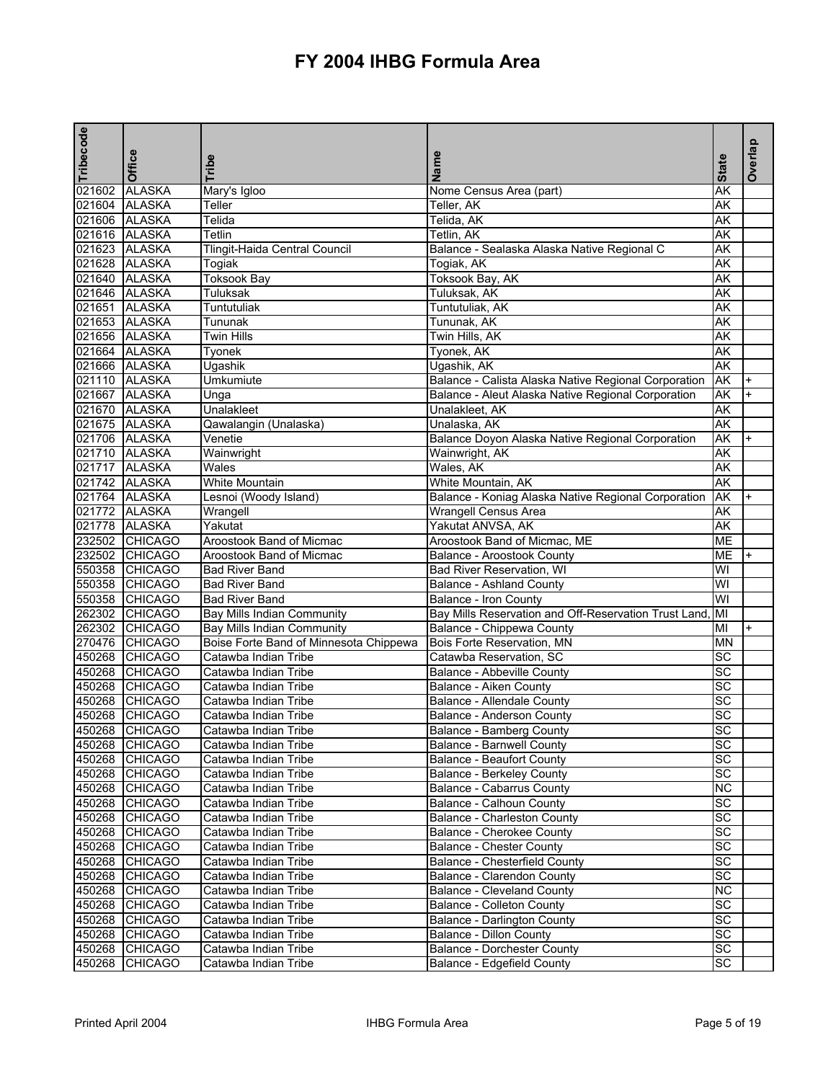| Tribecode     | <b>Office</b>                    | Tribe                                                                | Name                                                                           | <b>State</b>    | Overlap   |
|---------------|----------------------------------|----------------------------------------------------------------------|--------------------------------------------------------------------------------|-----------------|-----------|
| 021602 ALASKA |                                  | Mary's Igloo                                                         | Nome Census Area (part)                                                        | AK              |           |
| 021604 ALASKA |                                  | Teller                                                               | Teller, AK                                                                     | AΚ              |           |
| 021606 ALASKA |                                  | Telida                                                               | Telida, AK                                                                     | AΚ              |           |
| 021616 ALASKA |                                  | Tetlin                                                               | Tetlin, AK                                                                     | AK              |           |
| 021623 ALASKA |                                  | Tlingit-Haida Central Council                                        | Balance - Sealaska Alaska Native Regional C                                    | AK              |           |
| 021628 ALASKA |                                  | Togiak                                                               | Togiak, AK                                                                     | AK              |           |
| 021640 ALASKA |                                  | <b>Toksook Bay</b>                                                   | Toksook Bay, AK                                                                | AK              |           |
| 021646 ALASKA |                                  | Tuluksak                                                             | Tuluksak, AK                                                                   | AΚ              |           |
| 021651 ALASKA |                                  | Tuntutuliak                                                          | Tuntutuliak, AK                                                                | AK              |           |
| 021653 ALASKA |                                  | Tununak                                                              | Tununak, AK                                                                    | AK              |           |
| 021656 ALASKA |                                  | <b>Twin Hills</b>                                                    | Twin Hills, AK                                                                 | AK              |           |
| 021664 ALASKA |                                  | Tyonek                                                               | Tyonek, AK                                                                     | AΚ              |           |
| 021666 ALASKA |                                  | Ugashik                                                              | Ugashik, AK                                                                    | AK              |           |
| 021110 ALASKA |                                  | Umkumiute                                                            | Balance - Calista Alaska Native Regional Corporation                           | AK              | $\ddot{}$ |
| 021667 ALASKA |                                  | Unga                                                                 | Balance - Aleut Alaska Native Regional Corporation                             | AK              | $+$       |
| 021670 ALASKA |                                  | Unalakleet                                                           | Unalakleet, AK                                                                 | AK              |           |
| 021675 ALASKA |                                  | Qawalangin (Unalaska)                                                | Unalaska, AK                                                                   | AK              |           |
| 021706 ALASKA |                                  | Venetie                                                              | Balance Doyon Alaska Native Regional Corporation                               | AK              |           |
| 021710 ALASKA |                                  | Wainwright                                                           | Wainwright, AK                                                                 | AΚ              |           |
| 021717 ALASKA |                                  | Wales                                                                | Wales, AK                                                                      | AK              |           |
| 021742 ALASKA |                                  | White Mountain                                                       | White Mountain, AK                                                             | AK              |           |
| 021764 ALASKA |                                  | Lesnoi (Woody Island)                                                | Balance - Koniag Alaska Native Regional Corporation                            | AK              |           |
| 021772 ALASKA |                                  | Wrangell                                                             | <b>Wrangell Census Area</b>                                                    | AK              |           |
| 021778 ALASKA |                                  | Yakutat                                                              | Yakutat ANVSA, AK                                                              | AK              |           |
|               | 232502 CHICAGO                   | Aroostook Band of Micmac                                             | Aroostook Band of Micmac, ME                                                   | <b>ME</b>       |           |
|               | 232502 CHICAGO                   | Aroostook Band of Micmac                                             |                                                                                | ME              |           |
|               | 550358 CHICAGO                   | <b>Bad River Band</b>                                                | Balance - Aroostook County                                                     | WI              |           |
|               | 550358 CHICAGO                   | <b>Bad River Band</b>                                                | Bad River Reservation, WI                                                      | WI              |           |
|               | 550358 CHICAGO                   | <b>Bad River Band</b>                                                | Balance - Ashland County                                                       | WI              |           |
|               | 262302 CHICAGO                   | <b>Bay Mills Indian Community</b>                                    | Balance - Iron County<br>Bay Mills Reservation and Off-Reservation Trust Land, | Iмı             |           |
|               | 262302 CHICAGO                   |                                                                      |                                                                                | MI              | $\ddot{}$ |
|               | 270476 CHICAGO                   | Bay Mills Indian Community<br>Boise Forte Band of Minnesota Chippewa | Balance - Chippewa County<br><b>Bois Forte Reservation, MN</b>                 | <b>MN</b>       |           |
|               | 450268 CHICAGO                   | Catawba Indian Tribe                                                 | Catawba Reservation, SC                                                        | $\overline{SC}$ |           |
|               | 450268 CHICAGO                   |                                                                      | <b>Balance - Abbeville County</b>                                              | SC              |           |
|               | 450268 CHICAGO                   | Catawba Indian Tribe<br>Catawba Indian Tribe                         | <b>Balance - Aiken County</b>                                                  | SC              |           |
|               | 450268 CHICAGO                   | Catawba Indian Tribe                                                 |                                                                                | $\overline{SC}$ |           |
|               | 450268 CHICAGO                   | Catawba Indian Tribe                                                 | Balance - Allendale County<br>Balance - Anderson County                        | SC              |           |
|               | 450268 CHICAGO                   |                                                                      |                                                                                | SC              |           |
|               | 450268 CHICAGO                   | Catawba Indian Tribe                                                 | Balance - Bamberg County                                                       | SC              |           |
|               | 450268 CHICAGO                   | Catawba Indian Tribe                                                 | Balance - Barnwell County<br>Balance - Beaufort County                         | SC              |           |
|               | 450268 CHICAGO                   | Catawba Indian Tribe<br>Catawba Indian Tribe                         |                                                                                | SC              |           |
|               | 450268 CHICAGO                   | Catawba Indian Tribe                                                 | <b>Balance - Berkeley County</b><br>Balance - Cabarrus County                  | <b>NC</b>       |           |
|               | 450268 CHICAGO                   | Catawba Indian Tribe                                                 | <b>Balance - Calhoun County</b>                                                | SC              |           |
|               |                                  |                                                                      |                                                                                |                 |           |
|               | 450268 CHICAGO                   | Catawba Indian Tribe                                                 | <b>Balance - Charleston County</b>                                             | SC<br>SC        |           |
|               | 450268 CHICAGO                   | Catawba Indian Tribe                                                 | Balance - Cherokee County                                                      |                 |           |
|               | 450268 CHICAGO<br>450268 CHICAGO | Catawba Indian Tribe<br>Catawba Indian Tribe                         | <b>Balance - Chester County</b><br>Balance - Chesterfield County               | SC<br>SC        |           |
|               |                                  |                                                                      |                                                                                | SC              |           |
|               | 450268 CHICAGO                   | Catawba Indian Tribe                                                 | Balance - Clarendon County                                                     | NC              |           |
|               | 450268 CHICAGO                   | Catawba Indian Tribe                                                 | <b>Balance - Cleveland County</b>                                              | SC              |           |
|               | 450268 CHICAGO                   | Catawba Indian Tribe                                                 | Balance - Colleton County                                                      |                 |           |
|               | 450268 CHICAGO                   | Catawba Indian Tribe                                                 | Balance - Darlington County                                                    | SC              |           |
|               | 450268 CHICAGO                   | Catawba Indian Tribe                                                 | Balance - Dillon County                                                        | SC              |           |
|               | 450268 CHICAGO                   | Catawba Indian Tribe                                                 | <b>Balance - Dorchester County</b>                                             | SC              |           |
|               | 450268 CHICAGO                   | Catawba Indian Tribe                                                 | Balance - Edgefield County                                                     | SC              |           |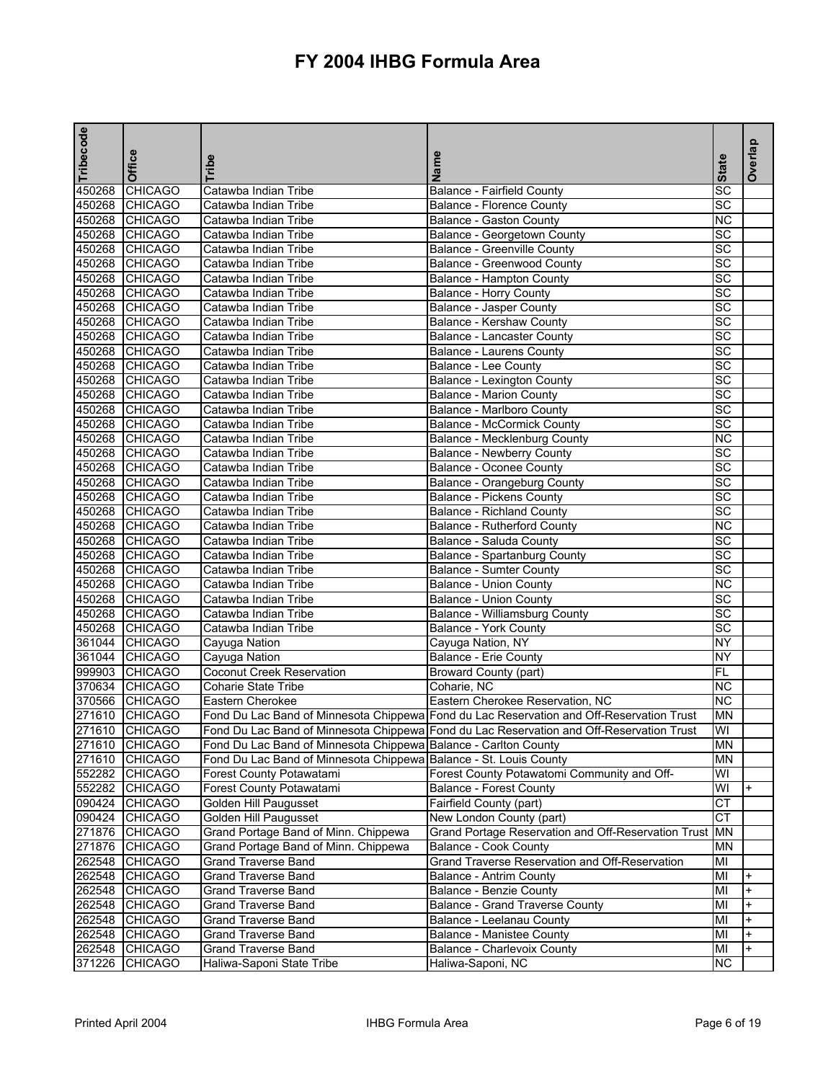| Tribecode | <b>Office</b>  | Tribe                                                             | Name                                                                                     | <b>State</b>           | Overlap   |
|-----------|----------------|-------------------------------------------------------------------|------------------------------------------------------------------------------------------|------------------------|-----------|
| 450268    | <b>CHICAGO</b> | Catawba Indian Tribe                                              | <b>Balance - Fairfield County</b>                                                        | SC                     |           |
|           | 450268 CHICAGO | Catawba Indian Tribe                                              | <b>Balance - Florence County</b>                                                         | <b>SC</b>              |           |
|           | 450268 CHICAGO | Catawba Indian Tribe                                              | Balance - Gaston County                                                                  | <b>NC</b>              |           |
|           | 450268 CHICAGO | Catawba Indian Tribe                                              | Balance - Georgetown County                                                              | SC                     |           |
|           | 450268 CHICAGO | Catawba Indian Tribe                                              | <b>Balance - Greenville County</b>                                                       | $\overline{SC}$        |           |
|           | 450268 CHICAGO | Catawba Indian Tribe                                              | <b>Balance - Greenwood County</b>                                                        | $\overline{SC}$        |           |
|           | 450268 CHICAGO | Catawba Indian Tribe                                              | <b>Balance - Hampton County</b>                                                          | <b>SC</b>              |           |
|           | 450268 CHICAGO | Catawba Indian Tribe                                              | <b>Balance - Horry County</b>                                                            | SC                     |           |
|           | 450268 CHICAGO | Catawba Indian Tribe                                              | Balance - Jasper County                                                                  | SC                     |           |
|           | 450268 CHICAGO | Catawba Indian Tribe                                              | Balance - Kershaw County                                                                 | $\overline{SC}$        |           |
|           | 450268 CHICAGO | Catawba Indian Tribe                                              | Balance - Lancaster County                                                               | $\overline{SC}$        |           |
|           | 450268 CHICAGO | Catawba Indian Tribe                                              | Balance - Laurens County                                                                 | SC                     |           |
|           | 450268 CHICAGO | Catawba Indian Tribe                                              | <b>Balance - Lee County</b>                                                              | SC                     |           |
|           | 450268 CHICAGO | Catawba Indian Tribe                                              | <b>Balance - Lexington County</b>                                                        | $\overline{SC}$        |           |
|           | 450268 CHICAGO | Catawba Indian Tribe                                              | <b>Balance - Marion County</b>                                                           | $\overline{SC}$        |           |
|           | 450268 CHICAGO | Catawba Indian Tribe                                              | <b>Balance - Marlboro County</b>                                                         | <b>SC</b>              |           |
|           | 450268 CHICAGO | Catawba Indian Tribe                                              | <b>Balance - McCormick County</b>                                                        | SC                     |           |
|           | 450268 CHICAGO | Catawba Indian Tribe                                              | Balance - Mecklenburg County                                                             | <b>NC</b>              |           |
|           | 450268 CHICAGO | Catawba Indian Tribe                                              | <b>Balance - Newberry County</b>                                                         | $\overline{SC}$        |           |
|           | 450268 CHICAGO | Catawba Indian Tribe                                              | <b>Balance - Oconee County</b>                                                           | SC                     |           |
|           | 450268 CHICAGO | Catawba Indian Tribe                                              | Balance - Orangeburg County                                                              | SC                     |           |
|           | 450268 CHICAGO | Catawba Indian Tribe                                              | <b>Balance - Pickens County</b>                                                          | SC                     |           |
|           | 450268 CHICAGO | Catawba Indian Tribe                                              | <b>Balance - Richland County</b>                                                         | $\overline{SC}$        |           |
|           | 450268 CHICAGO | Catawba Indian Tribe                                              | <b>Balance - Rutherford County</b>                                                       | $\overline{\text{NC}}$ |           |
|           | 450268 CHICAGO | Catawba Indian Tribe                                              | Balance - Saluda County                                                                  | $\overline{SC}$        |           |
|           | 450268 CHICAGO | Catawba Indian Tribe                                              | Balance - Spartanburg County                                                             | SC                     |           |
|           | 450268 CHICAGO | Catawba Indian Tribe                                              | <b>Balance - Sumter County</b>                                                           | $\overline{SC}$        |           |
|           | 450268 CHICAGO | Catawba Indian Tribe                                              | <b>Balance - Union County</b>                                                            | NC                     |           |
|           | 450268 CHICAGO | Catawba Indian Tribe                                              | <b>Balance - Union County</b>                                                            | SC                     |           |
|           | 450268 CHICAGO | Catawba Indian Tribe                                              | Balance - Williamsburg County                                                            | SC                     |           |
|           | 450268 CHICAGO | Catawba Indian Tribe                                              | Balance - York County                                                                    | SC                     |           |
|           | 361044 CHICAGO | Cayuga Nation                                                     | Cayuga Nation, NY                                                                        | <b>NY</b>              |           |
|           | 361044 CHICAGO | Cayuga Nation                                                     | <b>Balance - Erie County</b>                                                             | <b>NY</b>              |           |
|           | 999903 CHICAGO | Coconut Creek Reservation                                         | Broward County (part)                                                                    | <b>FL</b>              |           |
|           | 370634 CHICAGO | Coharie State Tribe                                               | Coharie, NC                                                                              | <b>NC</b>              |           |
|           | 370566 CHICAGO | Eastern Cherokee                                                  | Eastern Cherokee Reservation, NC                                                         | $\overline{\text{NC}}$ |           |
|           | 271610 CHICAGO |                                                                   | Fond Du Lac Band of Minnesota Chippewa Fond du Lac Reservation and Off-Reservation Trust | <b>MN</b>              |           |
|           | 271610 CHICAGO |                                                                   | Fond Du Lac Band of Minnesota Chippewa Fond du Lac Reservation and Off-Reservation Trust | WI                     |           |
|           | 271610 CHICAGO |                                                                   |                                                                                          | <b>MN</b>              |           |
|           |                | Fond Du Lac Band of Minnesota Chippewa Balance - Carlton County   |                                                                                          |                        |           |
|           | 271610 CHICAGO | Fond Du Lac Band of Minnesota Chippewa Balance - St. Louis County |                                                                                          | MN                     |           |
|           | 552282 CHICAGO | Forest County Potawatami                                          | Forest County Potawatomi Community and Off-                                              | WI                     |           |
|           | 552282 CHICAGO | Forest County Potawatami                                          | <b>Balance - Forest County</b>                                                           | WI                     | +         |
|           | 090424 CHICAGO | Golden Hill Paugusset                                             | Fairfield County (part)                                                                  | <b>CT</b>              |           |
|           | 090424 CHICAGO | <b>Golden Hill Paugusset</b>                                      | New London County (part)                                                                 | CT                     |           |
|           | 271876 CHICAGO | Grand Portage Band of Minn. Chippewa                              | Grand Portage Reservation and Off-Reservation Trust                                      | <b>MN</b>              |           |
|           | 271876 CHICAGO | Grand Portage Band of Minn. Chippewa                              | <b>Balance - Cook County</b>                                                             | MN                     |           |
|           | 262548 CHICAGO | <b>Grand Traverse Band</b>                                        | Grand Traverse Reservation and Off-Reservation                                           | MI                     |           |
|           | 262548 CHICAGO | Grand Traverse Band                                               | Balance - Antrim County                                                                  | MI                     | $\ddot{}$ |
|           | 262548 CHICAGO | Grand Traverse Band                                               | Balance - Benzie County                                                                  | MI                     | $\ddot{}$ |
|           | 262548 CHICAGO | <b>Grand Traverse Band</b>                                        | <b>Balance - Grand Traverse County</b>                                                   | MI                     | +         |
|           | 262548 CHICAGO | Grand Traverse Band                                               | Balance - Leelanau County                                                                | MI                     | $\ddot{}$ |
|           | 262548 CHICAGO | <b>Grand Traverse Band</b>                                        | Balance - Manistee County                                                                | MI                     | $\ddot{}$ |
| 262548    | <b>CHICAGO</b> | Grand Traverse Band                                               | Balance - Charlevoix County                                                              | MI                     | $+$       |
| 371226    | <b>CHICAGO</b> | Haliwa-Saponi State Tribe                                         | Haliwa-Saponi, NC                                                                        | <b>NC</b>              |           |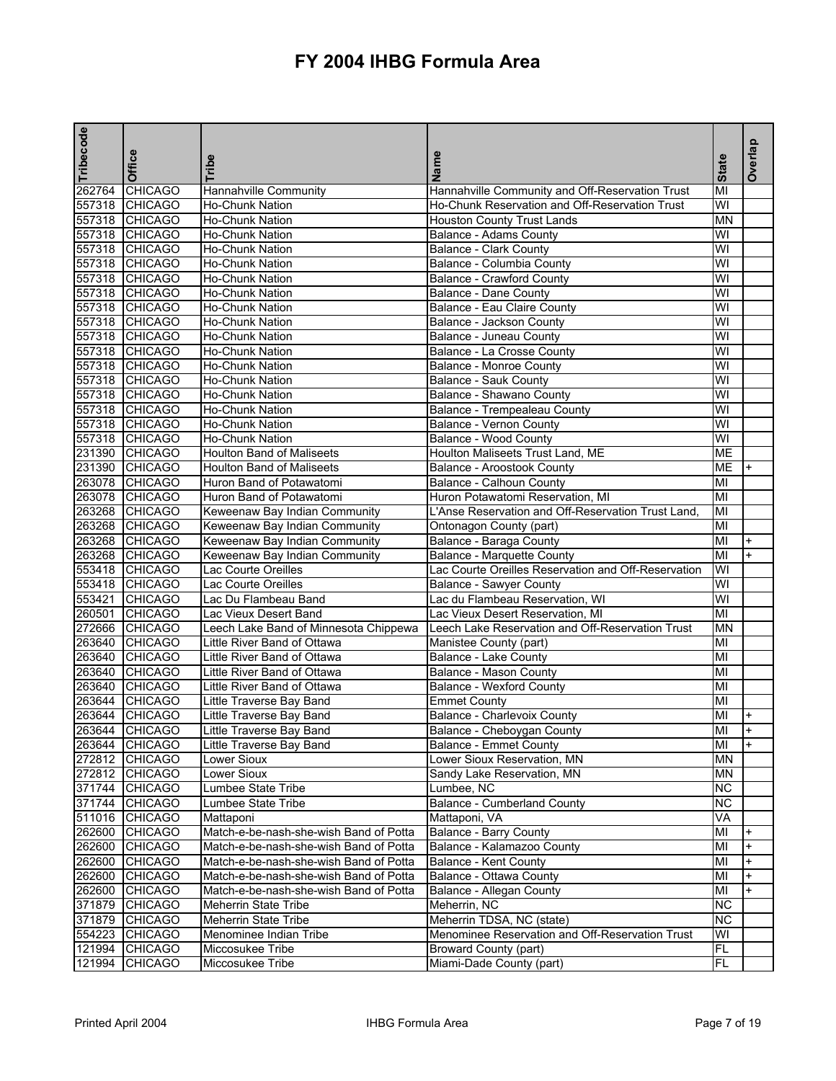| Tribecode | <b>Office</b>  | Tribe                                  | Name                                                        | <b>State</b> | Overlap   |
|-----------|----------------|----------------------------------------|-------------------------------------------------------------|--------------|-----------|
| 262764    | CHICAGO        | <b>Hannahville Community</b>           | Hannahville Community and Off-Reservation Trust             | MI           |           |
|           | 557318 CHICAGO | <b>Ho-Chunk Nation</b>                 | Ho-Chunk Reservation and Off-Reservation Trust              | WI           |           |
|           | 557318 CHICAGO | Ho-Chunk Nation                        | <b>Houston County Trust Lands</b>                           | <b>MN</b>    |           |
|           | 557318 CHICAGO | Ho-Chunk Nation                        | Balance - Adams County                                      | WI           |           |
|           | 557318 CHICAGO | Ho-Chunk Nation                        | Balance - Clark County                                      | WI           |           |
|           | 557318 CHICAGO | Ho-Chunk Nation                        | Balance - Columbia County                                   | WI           |           |
|           | 557318 CHICAGO | Ho-Chunk Nation                        | <b>Balance - Crawford County</b>                            | WI           |           |
|           | 557318 CHICAGO | Ho-Chunk Nation                        | Balance - Dane County                                       | WI           |           |
|           | 557318 CHICAGO | <b>Ho-Chunk Nation</b>                 | Balance - Eau Claire County                                 | WI           |           |
|           | 557318 CHICAGO | <b>Ho-Chunk Nation</b>                 | Balance - Jackson County                                    | WI           |           |
|           | 557318 CHICAGO | <b>Ho-Chunk Nation</b>                 | Balance - Juneau County                                     | WI           |           |
|           | 557318 CHICAGO | Ho-Chunk Nation                        | Balance - La Crosse County                                  | WI           |           |
|           | 557318 CHICAGO | <b>Ho-Chunk Nation</b>                 | <b>Balance - Monroe County</b>                              | WI           |           |
|           | 557318 CHICAGO | Ho-Chunk Nation                        | Balance - Sauk County                                       | WI           |           |
|           | 557318 CHICAGO | <b>Ho-Chunk Nation</b>                 | Balance - Shawano County                                    | WI           |           |
|           | 557318 CHICAGO | <b>Ho-Chunk Nation</b>                 | Balance - Trempealeau County                                | WI           |           |
|           | 557318 CHICAGO | Ho-Chunk Nation                        | <b>Balance - Vernon County</b>                              | WI           |           |
|           | 557318 CHICAGO | <b>Ho-Chunk Nation</b>                 | Balance - Wood County                                       | WI           |           |
|           | 231390 CHICAGO | <b>Houlton Band of Maliseets</b>       | Houlton Maliseets Trust Land, ME                            | <b>ME</b>    |           |
|           | 231390 CHICAGO | <b>Houlton Band of Maliseets</b>       | Balance - Aroostook County                                  | <b>ME</b>    |           |
|           | 263078 CHICAGO | Huron Band of Potawatomi               | <b>Balance - Calhoun County</b>                             | MI           |           |
|           | 263078 CHICAGO | Huron Band of Potawatomi               | Huron Potawatomi Reservation, MI                            | MI           |           |
|           | 263268 CHICAGO | Keweenaw Bay Indian Community          | L'Anse Reservation and Off-Reservation Trust Land           | MI           |           |
|           | 263268 CHICAGO | Keweenaw Bay Indian Community          | Ontonagon County (part)                                     | MI           |           |
|           | 263268 CHICAGO | Keweenaw Bay Indian Community          | Balance - Baraga County                                     | MI           | $+$       |
|           | 263268 CHICAGO | Keweenaw Bay Indian Community          | <b>Balance - Marquette County</b>                           | MI           | $+$       |
|           | 553418 CHICAGO | Lac Courte Oreilles                    | Lac Courte Oreilles Reservation and Off-Reservation         | WI           |           |
|           | 553418 CHICAGO | Lac Courte Oreilles                    | <b>Balance - Sawyer County</b>                              | WI           |           |
|           | 553421 CHICAGO | Lac Du Flambeau Band                   | Lac du Flambeau Reservation, WI                             | WI           |           |
| 260501    | <b>CHICAGO</b> | Lac Vieux Desert Band                  | Lac Vieux Desert Reservation, MI                            | MI           |           |
|           | 272666 CHICAGO | Leech Lake Band of Minnesota Chippewa  | Leech Lake Reservation and Off-Reservation Trust            | MN           |           |
|           | 263640 CHICAGO | Little River Band of Ottawa            | Manistee County (part)                                      | MI           |           |
|           | 263640 CHICAGO | Little River Band of Ottawa            | Balance - Lake County                                       | MI           |           |
|           | 263640 CHICAGO | Little River Band of Ottawa            | Balance - Mason County                                      | MI           |           |
|           | 263640 CHICAGO | Little River Band of Ottawa            | <b>Balance - Wexford County</b>                             | MI           |           |
|           | 263644 CHICAGO | Little Traverse Bay Band               | <b>Emmet County</b>                                         | MI           |           |
|           | 263644 CHICAGO | Little Traverse Bay Band               | <b>Balance - Charlevoix County</b>                          | MI           | $\ddot{}$ |
|           | 263644 CHICAGO |                                        |                                                             | MI           |           |
|           | 263644 CHICAGO | Little Traverse Bay Band               | Balance - Cheboygan County<br><b>Balance - Emmet County</b> | MI           | $+$       |
|           |                | Little Traverse Bay Band               |                                                             |              |           |
|           | 272812 CHICAGO | Lower Sioux                            | Lower Sioux Reservation, MN                                 | <b>MN</b>    |           |
|           | 272812 CHICAGO | Lower Sioux                            | Sandy Lake Reservation, MN                                  | <b>MN</b>    |           |
|           | 371744 CHICAGO | Lumbee State Tribe                     | Lumbee, NC                                                  | <b>NC</b>    |           |
|           | 371744 CHICAGO | Lumbee State Tribe                     | <b>Balance - Cumberland County</b>                          | <b>NC</b>    |           |
|           | 511016 CHICAGO | Mattaponi                              | Mattaponi, VA                                               | VA           |           |
|           | 262600 CHICAGO | Match-e-be-nash-she-wish Band of Potta | <b>Balance - Barry County</b>                               | MI           |           |
|           | 262600 CHICAGO | Match-e-be-nash-she-wish Band of Potta | Balance - Kalamazoo County                                  | MI           |           |
|           | 262600 CHICAGO | Match-e-be-nash-she-wish Band of Potta | Balance - Kent County                                       | MI           |           |
|           | 262600 CHICAGO | Match-e-be-nash-she-wish Band of Potta | Balance - Ottawa County                                     | MI           | $+$       |
|           | 262600 CHICAGO | Match-e-be-nash-she-wish Band of Potta | Balance - Allegan County                                    | MI           |           |
|           | 371879 CHICAGO | <b>Meherrin State Tribe</b>            | Meherrin, NC                                                | Z            |           |
| 371879    | <b>CHICAGO</b> | Meherrin State Tribe                   | Meherrin TDSA, NC (state)                                   | <b>NC</b>    |           |
|           | 554223 CHICAGO | Menominee Indian Tribe                 | Menominee Reservation and Off-Reservation Trust             | WI           |           |
|           | 121994 CHICAGO | Miccosukee Tribe                       | Broward County (part)                                       | FL.          |           |
|           | 121994 CHICAGO | Miccosukee Tribe                       | Miami-Dade County (part)                                    | <b>FL</b>    |           |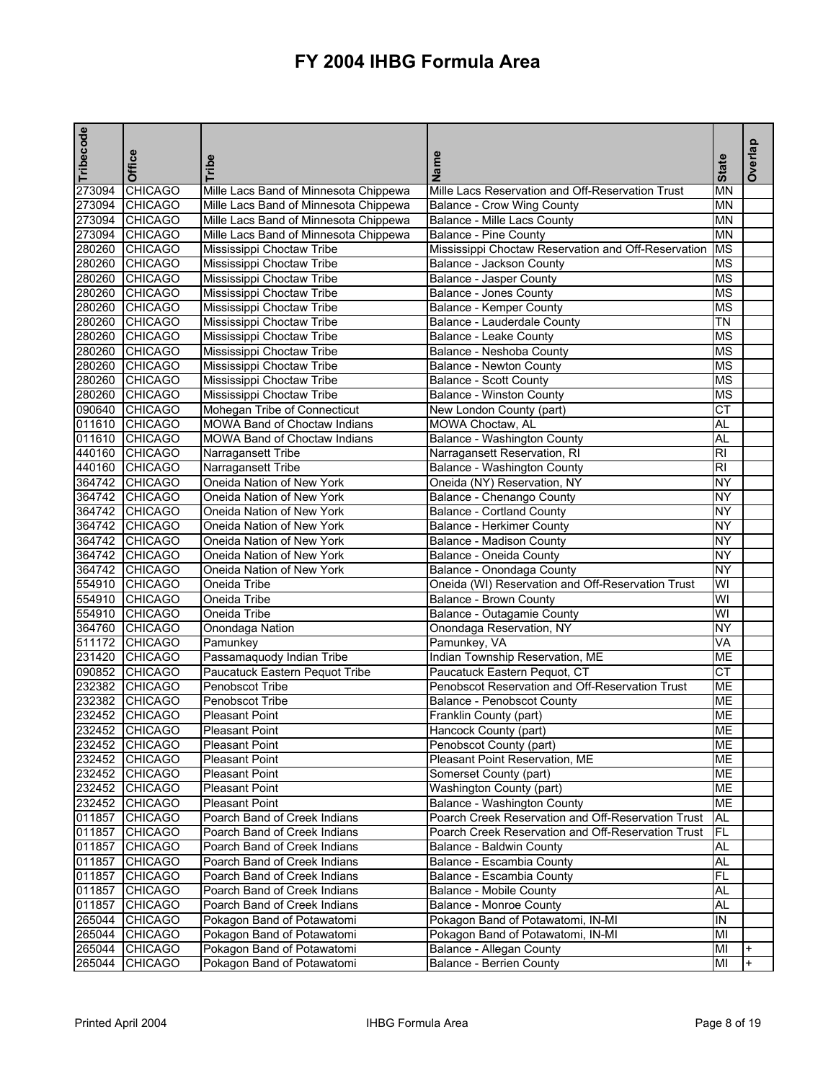| Tribecode | Office         | Tribe                                 | Name                                                | <b>State</b>           | Overlap |
|-----------|----------------|---------------------------------------|-----------------------------------------------------|------------------------|---------|
| 273094    | <b>CHICAGO</b> | Mille Lacs Band of Minnesota Chippewa | Mille Lacs Reservation and Off-Reservation Trust    | <b>MN</b>              |         |
|           | 273094 CHICAGO | Mille Lacs Band of Minnesota Chippewa | <b>Balance - Crow Wing County</b>                   | <b>MN</b>              |         |
| 273094    | <b>CHICAGO</b> | Mille Lacs Band of Minnesota Chippewa | Balance - Mille Lacs County                         | <b>MN</b>              |         |
|           | 273094 CHICAGO | Mille Lacs Band of Minnesota Chippewa | Balance - Pine County                               | <b>MN</b>              |         |
|           | 280260 CHICAGO | Mississippi Choctaw Tribe             | Mississippi Choctaw Reservation and Off-Reservation | <b>MS</b>              |         |
| 280260    | <b>CHICAGO</b> | Mississippi Choctaw Tribe             | Balance - Jackson County                            | <b>MS</b>              |         |
| 280260    | <b>CHICAGO</b> | Mississippi Choctaw Tribe             | <b>Balance - Jasper County</b>                      | <b>MS</b>              |         |
| 280260    | <b>CHICAGO</b> | Mississippi Choctaw Tribe             | Balance - Jones County                              | <b>MS</b>              |         |
|           | 280260 CHICAGO | Mississippi Choctaw Tribe             | Balance - Kemper County                             | <b>MS</b>              |         |
|           | 280260 CHICAGO | Mississippi Choctaw Tribe             | Balance - Lauderdale County                         | <b>TN</b>              |         |
|           | 280260 CHICAGO | Mississippi Choctaw Tribe             | Balance - Leake County                              | <b>MS</b>              |         |
|           | 280260 CHICAGO | Mississippi Choctaw Tribe             | Balance - Neshoba County                            | <b>MS</b>              |         |
|           | 280260 CHICAGO | Mississippi Choctaw Tribe             | <b>Balance - Newton County</b>                      | <b>MS</b>              |         |
|           | 280260 CHICAGO | Mississippi Choctaw Tribe             | Balance - Scott County                              | <b>MS</b>              |         |
| 280260    | <b>CHICAGO</b> | Mississippi Choctaw Tribe             | <b>Balance - Winston County</b>                     | <b>MS</b>              |         |
| 090640    | <b>CHICAGO</b> | Mohegan Tribe of Connecticut          | New London County (part)                            | $\overline{\text{CT}}$ |         |
| 011610    | <b>CHICAGO</b> | <b>MOWA Band of Choctaw Indians</b>   | MOWA Choctaw, AL                                    | AL                     |         |
|           | 011610 CHICAGO | MOWA Band of Choctaw Indians          | Balance - Washington County                         | <b>AL</b>              |         |
|           | 440160 CHICAGO | Narragansett Tribe                    | Narragansett Reservation, RI                        | R <sub>l</sub>         |         |
|           | 440160 CHICAGO | Narragansett Tribe                    | Balance - Washington County                         | R <sub>l</sub>         |         |
|           | 364742 CHICAGO | Oneida Nation of New York             | Oneida (NY) Reservation, NY                         | <b>NY</b>              |         |
|           | 364742 CHICAGO | Oneida Nation of New York             | Balance - Chenango County                           | <b>NY</b>              |         |
|           | 364742 CHICAGO | Oneida Nation of New York             | <b>Balance - Cortland County</b>                    | $\overline{NY}$        |         |
|           | 364742 CHICAGO | Oneida Nation of New York             | Balance - Herkimer County                           | $\overline{NY}$        |         |
|           | 364742 CHICAGO | Oneida Nation of New York             | <b>Balance - Madison County</b>                     | <b>NY</b>              |         |
|           | 364742 CHICAGO | Oneida Nation of New York             | Balance - Oneida County                             | <b>NY</b>              |         |
|           | 364742 CHICAGO | Oneida Nation of New York             | Balance - Onondaga County                           | ΝY                     |         |
|           | 554910 CHICAGO | Oneida Tribe                          | Oneida (WI) Reservation and Off-Reservation Trust   | WI                     |         |
|           | 554910 CHICAGO | Oneida Tribe                          | <b>Balance - Brown County</b>                       | WI                     |         |
|           | 554910 CHICAGO | Oneida Tribe                          | Balance - Outagamie County                          | WI                     |         |
| 364760    | <b>CHICAGO</b> | Onondaga Nation                       | Onondaga Reservation, NY                            | NY                     |         |
| 511172    | <b>CHICAGO</b> | Pamunkey                              | Pamunkey, VA                                        | VA                     |         |
|           | 231420 CHICAGO | Passamaquody Indian Tribe             | Indian Township Reservation, ME                     | <b>ME</b>              |         |
| 090852    | <b>CHICAGO</b> | Paucatuck Eastern Pequot Tribe        | Paucatuck Eastern Pequot, CT                        | $\overline{\text{CT}}$ |         |
|           | 232382 CHICAGO | Penobscot Tribe                       | Penobscot Reservation and Off-Reservation Trust     | <b>ME</b>              |         |
| 232382    | <b>CHICAGO</b> | Penobscot Tribe                       | Balance - Penobscot County                          | <b>ME</b>              |         |
| 232452    | <b>CHICAGO</b> | <b>Pleasant Point</b>                 | Franklin County (part)                              | <b>ME</b>              |         |
|           | 232452 CHICAGO | <b>Pleasant Point</b>                 | Hancock County (part)                               | МE                     |         |
|           | 232452 CHICAGO | <b>Pleasant Point</b>                 | Penobscot County (part)                             | <b>ME</b>              |         |
|           | 232452 CHICAGO | <b>Pleasant Point</b>                 | Pleasant Point Reservation, ME                      | МE                     |         |
|           | 232452 CHICAGO | <b>Pleasant Point</b>                 | Somerset County (part)                              | <b>ME</b>              |         |
|           | 232452 CHICAGO | Pleasant Point                        | Washington County (part)                            | <b>ME</b>              |         |
|           | 232452 CHICAGO | <b>Pleasant Point</b>                 | <b>Balance - Washington County</b>                  | ME                     |         |
| 011857    | <b>CHICAGO</b> | Poarch Band of Creek Indians          | Poarch Creek Reservation and Off-Reservation Trust  | AL                     |         |
|           | 011857 CHICAGO | Poarch Band of Creek Indians          | Poarch Creek Reservation and Off-Reservation Trust  | FL                     |         |
| 011857    | <b>CHICAGO</b> | Poarch Band of Creek Indians          | Balance - Baldwin County                            | AL                     |         |
| 011857    | <b>CHICAGO</b> | Poarch Band of Creek Indians          | Balance - Escambia County                           | AL                     |         |
| 011857    | <b>CHICAGO</b> | Poarch Band of Creek Indians          | Balance - Escambia County                           | FL                     |         |
| 011857    | <b>CHICAGO</b> | Poarch Band of Creek Indians          | <b>Balance - Mobile County</b>                      | AL                     |         |
| 011857    | <b>CHICAGO</b> | Poarch Band of Creek Indians          | <b>Balance - Monroe County</b>                      | AL                     |         |
| 265044    | <b>CHICAGO</b> | Pokagon Band of Potawatomi            | Pokagon Band of Potawatomi, IN-MI                   | IN                     |         |
|           | 265044 CHICAGO | Pokagon Band of Potawatomi            | Pokagon Band of Potawatomi, IN-MI                   | MI                     |         |
| 265044    | <b>CHICAGO</b> | Pokagon Band of Potawatomi            | Balance - Allegan County                            | MI                     | +       |
|           | 265044 CHICAGO | Pokagon Band of Potawatomi            | <b>Balance - Berrien County</b>                     | MI                     | $+$     |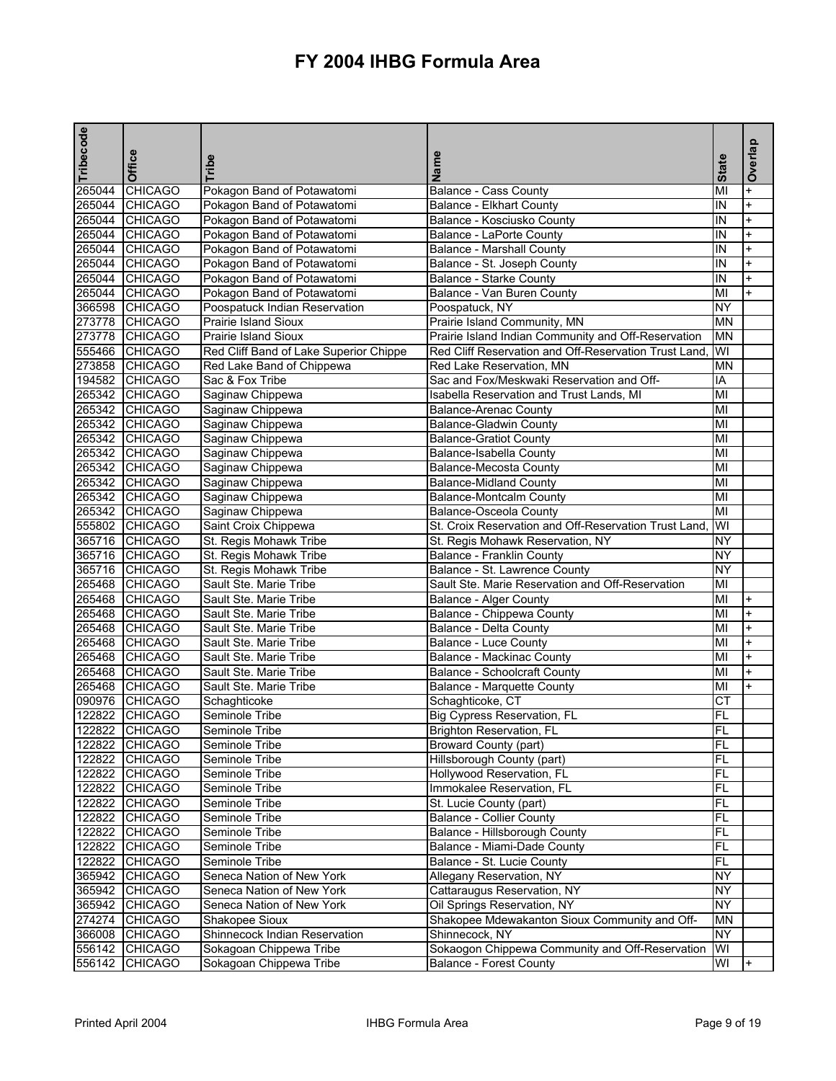| Tribecode | Office                           | Tribe                                  | Name                                                  | <b>State</b> | Overlap                |
|-----------|----------------------------------|----------------------------------------|-------------------------------------------------------|--------------|------------------------|
| 265044    | <b>CHICAGO</b>                   | Pokagon Band of Potawatomi             | Balance - Cass County                                 | MI           | $\ddot{}$              |
| 265044    | <b>CHICAGO</b>                   | Pokagon Band of Potawatomi             | <b>Balance - Elkhart County</b>                       | IN           | $\ddot{}$              |
|           | 265044 CHICAGO                   | Pokagon Band of Potawatomi             | Balance - Kosciusko County                            | IN           | $\ddot{}$              |
| 265044    | <b>CHICAGO</b>                   | Pokagon Band of Potawatomi             | Balance - LaPorte County                              | IN           | $\ddot{}$              |
|           | 265044 CHICAGO                   | Pokagon Band of Potawatomi             | <b>Balance - Marshall County</b>                      | IN           | $\ddot{}$              |
| 265044    | <b>CHICAGO</b>                   | Pokagon Band of Potawatomi             | Balance - St. Joseph County                           | IN           | $\ddot{}$              |
|           | 265044 CHICAGO                   | Pokagon Band of Potawatomi             | Balance - Starke County                               | IN           | $+$                    |
| 265044    | <b>CHICAGO</b>                   | Pokagon Band of Potawatomi             | Balance - Van Buren County                            | MI           | $+$                    |
| 366598    | <b>CHICAGO</b>                   | Poospatuck Indian Reservation          | Poospatuck, NY                                        | NY           |                        |
|           | 273778 CHICAGO                   | <b>Prairie Island Sioux</b>            | Prairie Island Community, MN                          | <b>MN</b>    |                        |
| 273778    | <b>CHICAGO</b>                   | <b>Prairie Island Sioux</b>            | Prairie Island Indian Community and Off-Reservation   | <b>MN</b>    |                        |
|           | 555466 CHICAGO                   | Red Cliff Band of Lake Superior Chippe | Red Cliff Reservation and Off-Reservation Trust Land, | WI           |                        |
|           | 273858 CHICAGO                   | Red Lake Band of Chippewa              | Red Lake Reservation, MN                              | ΜN           |                        |
|           | 194582 CHICAGO                   | Sac & Fox Tribe                        | Sac and Fox/Meskwaki Reservation and Off-             | IA           |                        |
|           | 265342 CHICAGO                   | Saginaw Chippewa                       | Isabella Reservation and Trust Lands, MI              | MI           |                        |
|           | 265342 CHICAGO                   | Saginaw Chippewa                       | <b>Balance-Arenac County</b>                          | MI           |                        |
| 265342    | <b>CHICAGO</b>                   | Saginaw Chippewa                       | <b>Balance-Gladwin County</b>                         | MI           |                        |
|           | 265342 CHICAGO                   | Saginaw Chippewa                       | <b>Balance-Gratiot County</b>                         | MI           |                        |
|           | 265342 CHICAGO                   | Saginaw Chippewa                       | <b>Balance-Isabella County</b>                        | MI           |                        |
|           | 265342 CHICAGO                   | Saginaw Chippewa                       | Balance-Mecosta County                                | MI           |                        |
|           | 265342 CHICAGO                   | Saginaw Chippewa                       | <b>Balance-Midland County</b>                         | MI           |                        |
|           | 265342 CHICAGO                   | Saginaw Chippewa                       | <b>Balance-Montcalm County</b>                        | MI           |                        |
|           | 265342 CHICAGO                   | Saginaw Chippewa                       | <b>Balance-Osceola County</b>                         | MI           |                        |
|           | 555802 CHICAGO                   | Saint Croix Chippewa                   | St. Croix Reservation and Off-Reservation Trust Land, | WI           |                        |
|           | 365716 CHICAGO                   | St. Regis Mohawk Tribe                 | St. Regis Mohawk Reservation, NY                      | <b>NY</b>    |                        |
|           | 365716 CHICAGO                   | St. Regis Mohawk Tribe                 | Balance - Franklin County                             | <b>NY</b>    |                        |
|           | 365716 CHICAGO                   | St. Regis Mohawk Tribe                 | Balance - St. Lawrence County                         | <b>NY</b>    |                        |
|           | 265468 CHICAGO                   | Sault Ste. Marie Tribe                 | Sault Ste. Marie Reservation and Off-Reservation      | MI           |                        |
| 265468    | <b>CHICAGO</b>                   | Sault Ste. Marie Tribe                 | <b>Balance - Alger County</b>                         | MI           | $+$                    |
| 265468    | <b>CHICAGO</b>                   | Sault Ste. Marie Tribe                 | Balance - Chippewa County                             | MI           | $\ddot{}$              |
| 265468    |                                  |                                        |                                                       |              | $\ddot{}$              |
|           | <b>CHICAGO</b>                   | Sault Ste. Marie Tribe                 | Balance - Delta County                                | MI           | $\ddot{}$              |
| 265468    | <b>CHICAGO</b><br>265468 CHICAGO | Sault Ste. Marie Tribe                 | Balance - Luce County                                 | MI           |                        |
|           |                                  | Sault Ste. Marie Tribe                 | Balance - Mackinac County                             | MI           | $\ddot{}$<br>$\ddot{}$ |
| 265468    | <b>CHICAGO</b>                   | Sault Ste. Marie Tribe                 | <b>Balance - Schoolcraft County</b>                   | MI           | $\ddot{}$              |
|           | 265468 CHICAGO                   | Sault Ste. Marie Tribe                 | <b>Balance - Marquette County</b>                     | MI           |                        |
| 090976    | <b>CHICAGO</b>                   | Schaghticoke                           | Schaghticoke, CT                                      | CT           |                        |
| 122822    | <b>CHICAGO</b>                   | Seminole Tribe                         | <b>Big Cypress Reservation, FL</b>                    | <b>FL</b>    |                        |
|           | 122822 CHICAGO                   | Seminole Tribe                         | <b>Brighton Reservation, FL</b>                       | FL           |                        |
|           | 122822 CHICAGO                   | Seminole Tribe                         | <b>Broward County (part)</b>                          | <b>FL</b>    |                        |
|           | 122822 CHICAGO                   | Seminole Tribe                         | Hillsborough County (part)                            | FL.          |                        |
|           | 122822 CHICAGO                   | Seminole Tribe                         | Hollywood Reservation, FL                             | FL.          |                        |
| 122822    | <b>CHICAGO</b>                   | Seminole Tribe                         | Immokalee Reservation, FL                             | FL           |                        |
| 122822    | <b>CHICAGO</b>                   | Seminole Tribe                         | St. Lucie County (part)                               | FL           |                        |
|           | 122822 CHICAGO                   | Seminole Tribe                         | <b>Balance - Collier County</b>                       | FL.          |                        |
|           | 122822 CHICAGO                   | Seminole Tribe                         | Balance - Hillsborough County                         | FL           |                        |
|           | 122822 CHICAGO                   | Seminole Tribe                         | Balance - Miami-Dade County                           | <b>FL</b>    |                        |
|           | 122822 CHICAGO                   | Seminole Tribe                         | Balance - St. Lucie County                            | FL           |                        |
| 365942    | <b>CHICAGO</b>                   | Seneca Nation of New York              | <b>Allegany Reservation, NY</b>                       | <b>NY</b>    |                        |
|           | 365942 CHICAGO                   | Seneca Nation of New York              | Cattaraugus Reservation, NY                           | <b>NY</b>    |                        |
| 365942    | <b>CHICAGO</b>                   | Seneca Nation of New York              | Oil Springs Reservation, NY                           | NY           |                        |
| 274274    | <b>CHICAGO</b>                   | Shakopee Sioux                         | Shakopee Mdewakanton Sioux Community and Off-         | <b>MN</b>    |                        |
| 366008    | <b>CHICAGO</b>                   | Shinnecock Indian Reservation          | Shinnecock, NY                                        | <b>NY</b>    |                        |
| 556142    | <b>CHICAGO</b>                   | Sokagoan Chippewa Tribe                | Sokaogon Chippewa Community and Off-Reservation       | WI           |                        |
| 556142    | <b>CHICAGO</b>                   | Sokagoan Chippewa Tribe                | <b>Balance - Forest County</b>                        | WI           | $+$                    |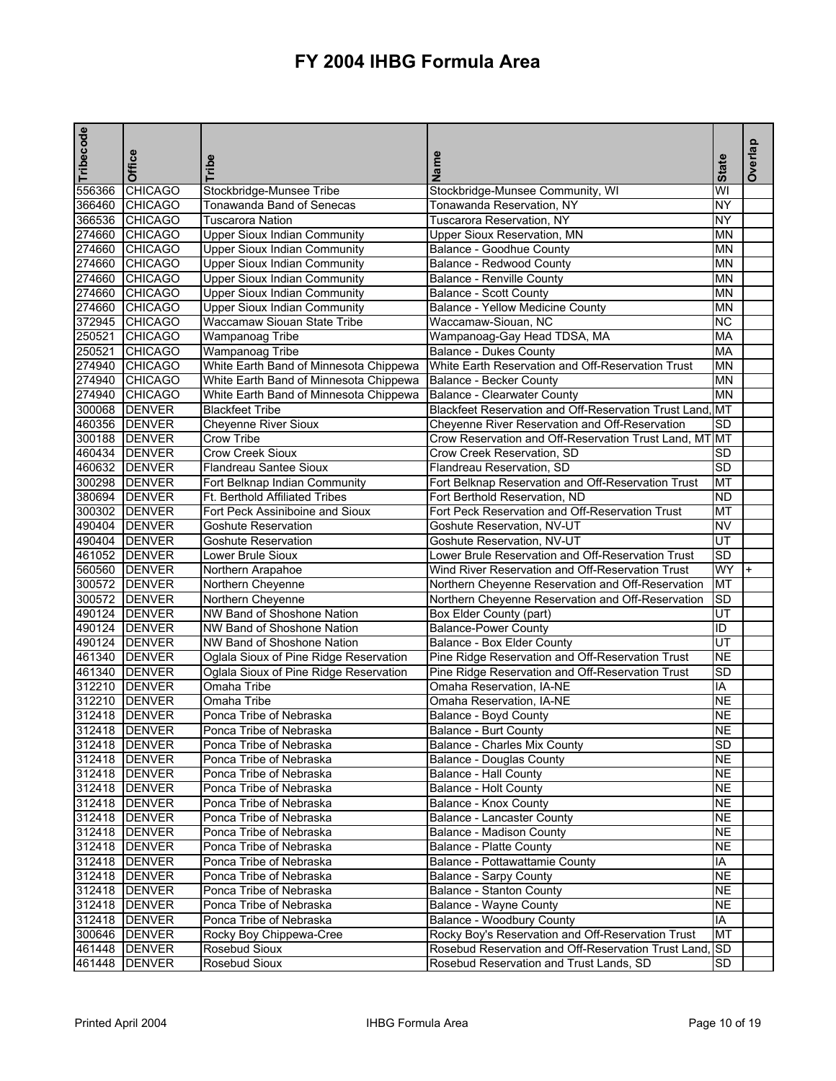| Tribecode | Office         | Tribe                                  | Name                                                  | <b>State</b>             | Overlap |
|-----------|----------------|----------------------------------------|-------------------------------------------------------|--------------------------|---------|
| 556366    | <b>CHICAGO</b> | Stockbridge-Munsee Tribe               | Stockbridge-Munsee Community, WI                      | WI                       |         |
| 366460    | <b>CHICAGO</b> | <b>Tonawanda Band of Senecas</b>       | Tonawanda Reservation, NY                             | <b>NY</b>                |         |
| 366536    | <b>CHICAGO</b> | <b>Tuscarora Nation</b>                | Tuscarora Reservation, NY                             | <b>NY</b>                |         |
| 274660    | <b>CHICAGO</b> | <b>Upper Sioux Indian Community</b>    | Upper Sioux Reservation, MN                           | ΜN                       |         |
| 274660    | <b>CHICAGO</b> | <b>Upper Sioux Indian Community</b>    | Balance - Goodhue County                              | <b>MN</b>                |         |
| 274660    | <b>CHICAGO</b> | <b>Upper Sioux Indian Community</b>    | Balance - Redwood County                              | <b>MN</b>                |         |
| 274660    | <b>CHICAGO</b> | <b>Upper Sioux Indian Community</b>    | <b>Balance - Renville County</b>                      | ΜN                       |         |
|           | 274660 CHICAGO | <b>Upper Sioux Indian Community</b>    | <b>Balance - Scott County</b>                         | <b>MN</b>                |         |
|           | 274660 CHICAGO | <b>Upper Sioux Indian Community</b>    | Balance - Yellow Medicine County                      | <b>MN</b>                |         |
| 372945    | <b>CHICAGO</b> | Waccamaw Siouan State Tribe            | Waccamaw-Siouan, NC                                   | $\overline{\text{NC}}$   |         |
| 250521    | <b>CHICAGO</b> | <b>Wampanoag Tribe</b>                 | Wampanoag-Gay Head TDSA, MA                           | <b>MA</b>                |         |
| 250521    | <b>CHICAGO</b> | Wampanoag Tribe                        | Balance - Dukes County                                | <b>MA</b>                |         |
|           | 274940 CHICAGO | White Earth Band of Minnesota Chippewa | White Earth Reservation and Off-Reservation Trust     | MN                       |         |
|           | 274940 CHICAGO | White Earth Band of Minnesota Chippewa | Balance - Becker County                               | <b>MN</b>                |         |
|           | 274940 CHICAGO | White Earth Band of Minnesota Chippewa | Balance - Clearwater County                           | <b>MN</b>                |         |
|           | 300068 DENVER  | <b>Blackfeet Tribe</b>                 | Blackfeet Reservation and Off-Reservation Trust Land. | MT                       |         |
|           | 460356 DENVER  | <b>Cheyenne River Sioux</b>            | Cheyenne River Reservation and Off-Reservation        | <b>SD</b>                |         |
|           | 300188 DENVER  | Crow Tribe                             | Crow Reservation and Off-Reservation Trust Land, MT   | MT                       |         |
|           | 460434 DENVER  | <b>Crow Creek Sioux</b>                | Crow Creek Reservation, SD                            | SD                       |         |
|           | 460632 DENVER  | Flandreau Santee Sioux                 | Flandreau Reservation, SD                             | <b>SD</b>                |         |
|           | 300298 DENVER  | Fort Belknap Indian Community          | Fort Belknap Reservation and Off-Reservation Trust    | <b>MT</b>                |         |
|           | 380694 DENVER  | <b>Ft. Berthold Affiliated Tribes</b>  | Fort Berthold Reservation, ND                         | <b>ND</b>                |         |
|           | 300302 DENVER  | Fort Peck Assiniboine and Sioux        | Fort Peck Reservation and Off-Reservation Trust       | <b>MT</b>                |         |
|           | 490404 DENVER  | Goshute Reservation                    | Goshute Reservation, NV-UT                            | <b>NV</b>                |         |
|           | 490404 DENVER  | Goshute Reservation                    | Goshute Reservation, NV-UT                            | $\overline{\mathsf{UT}}$ |         |
|           | 461052 DENVER  | Lower Brule Sioux                      | Lower Brule Reservation and Off-Reservation Trust     | <b>SD</b>                |         |
|           | 560560 DENVER  | Northern Arapahoe                      | Wind River Reservation and Off-Reservation Trust      | WY                       |         |
|           | 300572 DENVER  | Northern Cheyenne                      | Northern Cheyenne Reservation and Off-Reservation     | MT                       |         |
|           | 300572 DENVER  | Northern Cheyenne                      | Northern Cheyenne Reservation and Off-Reservation     | SD                       |         |
|           | 490124 DENVER  | NW Band of Shoshone Nation             | Box Elder County (part)                               | UT                       |         |
|           | 490124 DENVER  | NW Band of Shoshone Nation             | <b>Balance-Power County</b>                           | ID                       |         |
|           | 490124 DENVER  | NW Band of Shoshone Nation             | Balance - Box Elder County                            | $\overline{\mathsf{UT}}$ |         |
|           | 461340 DENVER  | Oglala Sioux of Pine Ridge Reservation | Pine Ridge Reservation and Off-Reservation Trust      | <b>NE</b>                |         |
|           | 461340 DENVER  | Oglala Sioux of Pine Ridge Reservation | Pine Ridge Reservation and Off-Reservation Trust      | <b>SD</b>                |         |
|           | 312210 DENVER  | Omaha Tribe                            | Omaha Reservation, IA-NE                              | IA                       |         |
|           | 312210 DENVER  | Omaha Tribe                            | Omaha Reservation, IA-NE                              | <b>NE</b>                |         |
|           | 312418 DENVER  | Ponca Tribe of Nebraska                | Balance - Boyd County                                 | <b>NE</b>                |         |
|           | 312418 DENVER  | Ponca Tribe of Nebraska                | <b>Balance - Burt County</b>                          | <b>NE</b>                |         |
|           | 312418 DENVER  | Ponca Tribe of Nebraska                | Balance - Charles Mix County                          | <b>SD</b>                |         |
|           | 312418 DENVER  | Ponca Tribe of Nebraska                | Balance - Douglas County                              | <b>NE</b>                |         |
|           | 312418 DENVER  | Ponca Tribe of Nebraska                | Balance - Hall County                                 | <b>NE</b>                |         |
|           | 312418 DENVER  | Ponca Tribe of Nebraska                | Balance - Holt County                                 | <b>NE</b>                |         |
|           | 312418 DENVER  | Ponca Tribe of Nebraska                | Balance - Knox County                                 | <b>NE</b>                |         |
|           | 312418 DENVER  | Ponca Tribe of Nebraska                | Balance - Lancaster County                            | <b>NE</b>                |         |
|           | 312418 DENVER  | Ponca Tribe of Nebraska                | Balance - Madison County                              | <b>NE</b>                |         |
|           | 312418 DENVER  | Ponca Tribe of Nebraska                | Balance - Platte County                               | <b>NE</b>                |         |
|           | 312418 DENVER  | Ponca Tribe of Nebraska                | Balance - Pottawattamie County                        | IA                       |         |
|           | 312418 DENVER  | Ponca Tribe of Nebraska                | <b>Balance - Sarpy County</b>                         | <b>NE</b>                |         |
|           | 312418 DENVER  | Ponca Tribe of Nebraska                | Balance - Stanton County                              | <b>NE</b>                |         |
|           | 312418 DENVER  | Ponca Tribe of Nebraska                | Balance - Wayne County                                | <b>NE</b>                |         |
|           | 312418 DENVER  | Ponca Tribe of Nebraska                | Balance - Woodbury County                             | IA                       |         |
|           | 300646 DENVER  | Rocky Boy Chippewa-Cree                | Rocky Boy's Reservation and Off-Reservation Trust     | MT                       |         |
|           | 461448 DENVER  | Rosebud Sioux                          | Rosebud Reservation and Off-Reservation Trust Land,   | <b>SD</b>                |         |
| 461448    | <b>DENVER</b>  | Rosebud Sioux                          | Rosebud Reservation and Trust Lands, SD               | SD                       |         |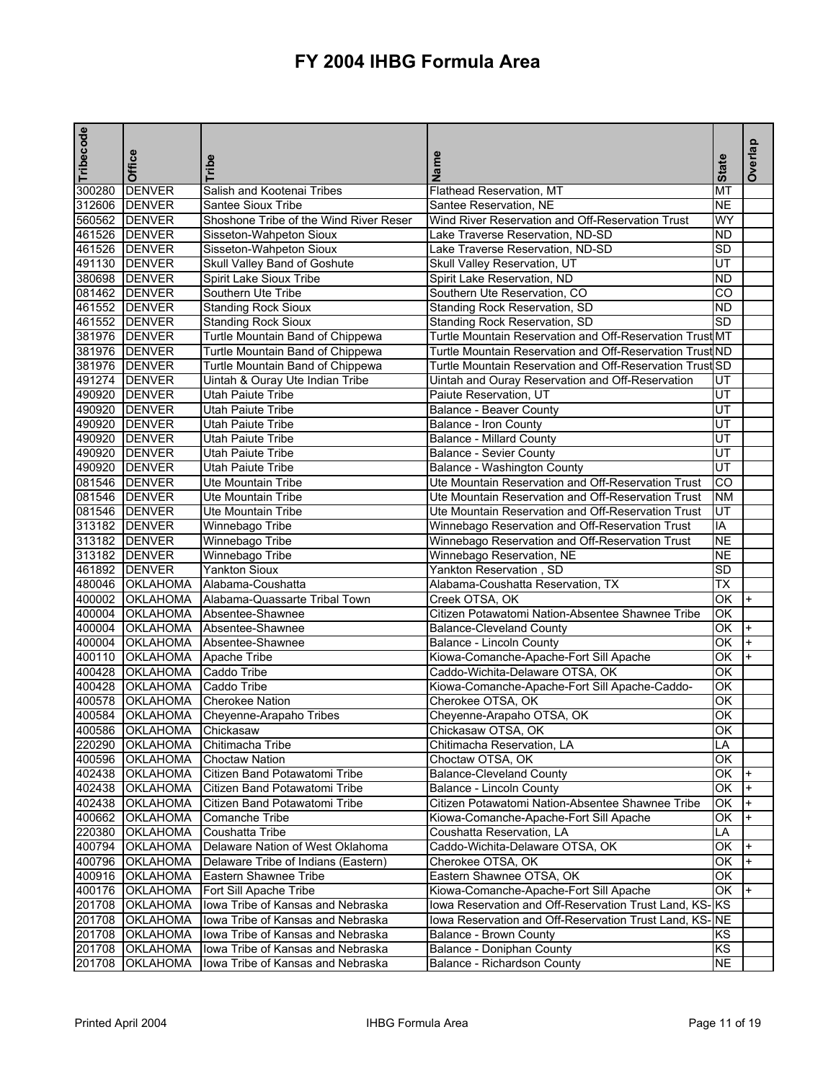| Tribecode | Office                    | Tribe                                  | Name                                                     | <b>State</b>             | Overlap |
|-----------|---------------------------|----------------------------------------|----------------------------------------------------------|--------------------------|---------|
| 300280    | <b>DENVER</b>             | Salish and Kootenai Tribes             | Flathead Reservation, MT                                 | МT                       |         |
|           | 312606 DENVER             | Santee Sioux Tribe                     | Santee Reservation, NE                                   | <b>NE</b>                |         |
|           | 560562 DENVER             | Shoshone Tribe of the Wind River Reser | Wind River Reservation and Off-Reservation Trust         | WY                       |         |
|           | 461526 DENVER             | Sisseton-Wahpeton Sioux                | Lake Traverse Reservation, ND-SD                         | <b>ND</b>                |         |
|           | 461526 DENVER             | Sisseton-Wahpeton Sioux                | Lake Traverse Reservation, ND-SD                         | SD                       |         |
|           | 491130 DENVER             | Skull Valley Band of Goshute           | Skull Valley Reservation, UT                             | UT                       |         |
|           | 380698 DENVER             | Spirit Lake Sioux Tribe                | Spirit Lake Reservation, ND                              | <b>ND</b>                |         |
|           | 081462 DENVER             | Southern Ute Tribe                     | Southern Ute Reservation, CO                             | CO                       |         |
|           | 461552 DENVER             | <b>Standing Rock Sioux</b>             | Standing Rock Reservation, SD                            | <b>ND</b>                |         |
|           | 461552 DENVER             | <b>Standing Rock Sioux</b>             | Standing Rock Reservation, SD                            | $\overline{SD}$          |         |
|           | 381976 DENVER             | Turtle Mountain Band of Chippewa       | Turtle Mountain Reservation and Off-Reservation Trust MT |                          |         |
|           | 381976 DENVER             | Turtle Mountain Band of Chippewa       | Turtle Mountain Reservation and Off-Reservation TrustIND |                          |         |
|           | 381976 DENVER             | Turtle Mountain Band of Chippewa       | Turtle Mountain Reservation and Off-Reservation Trust SD |                          |         |
|           | 491274 DENVER             | Uintah & Ouray Ute Indian Tribe        | Uintah and Ouray Reservation and Off-Reservation         | UT                       |         |
|           | 490920 DENVER             | <b>Utah Paiute Tribe</b>               | Paiute Reservation, UT                                   | UT                       |         |
|           | 490920 DENVER             | <b>Utah Paiute Tribe</b>               | <b>Balance - Beaver County</b>                           | UT                       |         |
|           | 490920 DENVER             | <b>Utah Paiute Tribe</b>               | <b>Balance - Iron County</b>                             | UT                       |         |
|           | 490920 DENVER             | Utah Paiute Tribe                      | <b>Balance - Millard County</b>                          | $\overline{\mathsf{UT}}$ |         |
|           | 490920 DENVER             | <b>Utah Paiute Tribe</b>               | <b>Balance - Sevier County</b>                           | $\overline{\mathtt{UT}}$ |         |
|           | 490920 DENVER             | <b>Utah Paiute Tribe</b>               | <b>Balance - Washington County</b>                       | UT                       |         |
|           | 081546 DENVER             | <b>Ute Mountain Tribe</b>              | Ute Mountain Reservation and Off-Reservation Trust       | CO                       |         |
|           | 081546 DENVER             | <b>Ute Mountain Tribe</b>              | Ute Mountain Reservation and Off-Reservation Trust       | <b>NM</b>                |         |
|           | 081546 DENVER             | <b>Ute Mountain Tribe</b>              | Ute Mountain Reservation and Off-Reservation Trust       | UT                       |         |
|           | 313182 DENVER             | Winnebago Tribe                        | Winnebago Reservation and Off-Reservation Trust          | IA                       |         |
| 313182    | <b>DENVER</b>             | Winnebago Tribe                        | Winnebago Reservation and Off-Reservation Trust          | <b>NE</b>                |         |
| 313182    | <b>DENVER</b>             | Winnebago Tribe                        | Winnebago Reservation, NE                                | <b>NE</b>                |         |
|           | 461892 DENVER             | <b>Yankton Sioux</b>                   | Yankton Reservation, SD                                  | <b>SD</b>                |         |
|           | 480046 OKLAHOMA           | Alabama-Coushatta                      | Alabama-Coushatta Reservation, TX                        | TX                       |         |
| 400002    | <b>OKLAHOMA</b>           | Alabama-Quassarte Tribal Town          | Creek OTSA, OK                                           | OK                       | $+$     |
| 400004    | <b>OKLAHOMA</b>           | Absentee-Shawnee                       | Citizen Potawatomi Nation-Absentee Shawnee Tribe         | ΟK                       |         |
|           | 400004 OKLAHOMA           | Absentee-Shawnee                       | <b>Balance-Cleveland County</b>                          | OK                       |         |
|           | 400004 OKLAHOMA           | Absentee-Shawnee                       | Balance - Lincoln County                                 | ОK                       | $+$     |
| 400110    | <b>OKLAHOMA</b>           | <b>Apache Tribe</b>                    | Kiowa-Comanche-Apache-Fort Sill Apache                   | OK                       |         |
| 400428    | <b>OKLAHOMA</b>           | Caddo Tribe                            | Caddo-Wichita-Delaware OTSA, OK                          | ΟK                       |         |
| 400428    | <b>OKLAHOMA</b>           | Caddo Tribe                            | Kiowa-Comanche-Apache-Fort Sill Apache-Caddo-            | ΟK                       |         |
|           | 400578 OKLAHOMA           | <b>Cherokee Nation</b>                 | Cherokee OTSA, OK                                        | ОΚ                       |         |
| 400584    | <b>OKLAHOMA</b>           | Cheyenne-Arapaho Tribes                | Cheyenne-Arapaho OTSA, OK                                | ОK                       |         |
|           | 400586 OKLAHOMA Chickasaw |                                        | Chickasaw OTSA, OK                                       | OK                       |         |
|           | 220290 OKLAHOMA           | Chitimacha Tribe                       | Chitimacha Reservation, LA                               | LA                       |         |
|           | 400596 OKLAHOMA           | <b>Choctaw Nation</b>                  | Choctaw OTSA, OK                                         | OK                       |         |
|           | 402438 OKLAHOMA           | Citizen Band Potawatomi Tribe          | <b>Balance-Cleveland County</b>                          | OK                       |         |
| 402438    | <b>OKLAHOMA</b>           | Citizen Band Potawatomi Tribe          | Balance - Lincoln County                                 | OK                       |         |
|           | 402438 OKLAHOMA           | Citizen Band Potawatomi Tribe          | Citizen Potawatomi Nation-Absentee Shawnee Tribe         | OK                       |         |
| 400662    | <b>OKLAHOMA</b>           | Comanche Tribe                         | Kiowa-Comanche-Apache-Fort Sill Apache                   | OK                       |         |
|           | 220380 OKLAHOMA           | Coushatta Tribe                        | Coushatta Reservation, LA                                | LA                       |         |
| 400794    | <b>OKLAHOMA</b>           | Delaware Nation of West Oklahoma       | Caddo-Wichita-Delaware OTSA, OK                          | ОK                       |         |
| 400796    | <b>OKLAHOMA</b>           | Delaware Tribe of Indians (Eastern)    | Cherokee OTSA, OK                                        | OK                       |         |
| 400916    | <b>OKLAHOMA</b>           | Eastern Shawnee Tribe                  | Eastern Shawnee OTSA, OK                                 | ОK                       |         |
| 400176    | OKLAHOMA                  | Fort Sill Apache Tribe                 | Kiowa-Comanche-Apache-Fort Sill Apache                   | OK                       |         |
| 201708    | <b>OKLAHOMA</b>           | Iowa Tribe of Kansas and Nebraska      | lowa Reservation and Off-Reservation Trust Land, KS-KS   |                          |         |
| 201708    | <b>OKLAHOMA</b>           | Iowa Tribe of Kansas and Nebraska      | lowa Reservation and Off-Reservation Trust Land, KS-NE   |                          |         |
| 201708    | <b>OKLAHOMA</b>           | Iowa Tribe of Kansas and Nebraska      | Balance - Brown County                                   | KS                       |         |
| 201708    | OKLAHOMA                  | Iowa Tribe of Kansas and Nebraska      | Balance - Doniphan County                                | ΚS                       |         |
| 201708    | <b>OKLAHOMA</b>           | Iowa Tribe of Kansas and Nebraska      | Balance - Richardson County                              | <b>NE</b>                |         |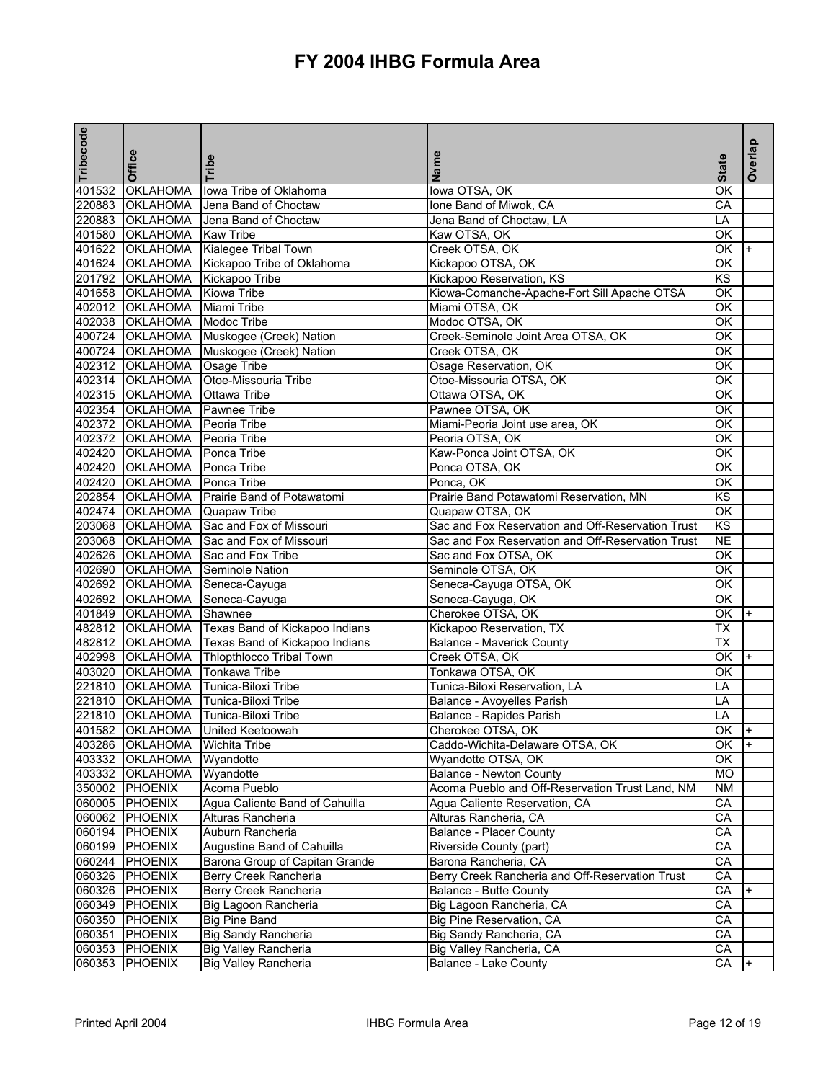| Tribecode | Office          | <b>Tribe</b>                                                      | Name                                              | <b>State</b>             | Overlap |
|-----------|-----------------|-------------------------------------------------------------------|---------------------------------------------------|--------------------------|---------|
| 401532    | <b>OKLAHOMA</b> | lowa Tribe of Oklahoma                                            | lowa OTSA, OK                                     | ΟK                       |         |
| 220883    | <b>OKLAHOMA</b> | Jena Band of Choctaw                                              | Ione Band of Miwok, CA                            | CА                       |         |
| 220883    | <b>OKLAHOMA</b> | Jena Band of Choctaw                                              | Jena Band of Choctaw, LA                          | LA                       |         |
|           | 401580 OKLAHOMA | <b>Kaw Tribe</b>                                                  | Kaw OTSA, OK                                      | ОK                       |         |
|           | 401622 OKLAHOMA | Kialegee Tribal Town                                              | Creek OTSA, OK                                    | ОK                       |         |
|           | 401624 OKLAHOMA | Kickapoo Tribe of Oklahoma                                        | Kickapoo OTSA, OK                                 | OK                       |         |
|           | 201792 OKLAHOMA | Kickapoo Tribe                                                    | Kickapoo Reservation, KS                          | <b>KS</b>                |         |
|           | 401658 OKLAHOMA | <b>Kiowa Tribe</b>                                                | Kiowa-Comanche-Apache-Fort Sill Apache OTSA       | ОK                       |         |
|           | 402012 OKLAHOMA | Miami Tribe                                                       | Miami OTSA, OK                                    | OK                       |         |
|           | 402038 OKLAHOMA | <b>Modoc Tribe</b>                                                | Modoc OTSA, OK                                    | ОK                       |         |
|           | 400724 OKLAHOMA | Muskogee (Creek) Nation                                           | Creek-Seminole Joint Area OTSA, OK                | ОK                       |         |
|           | 400724 OKLAHOMA | Muskogee (Creek) Nation                                           | Creek OTSA, OK                                    | ОK                       |         |
|           | 402312 OKLAHOMA | Osage Tribe                                                       | Osage Reservation, OK                             | ОK                       |         |
|           | 402314 OKLAHOMA | Otoe-Missouria Tribe                                              | Otoe-Missouria OTSA, OK                           | ОK                       |         |
|           | 402315 OKLAHOMA | <b>Ottawa Tribe</b>                                               | Ottawa OTSA, OK                                   | ОK                       |         |
|           | 402354 OKLAHOMA | <b>Pawnee Tribe</b>                                               | Pawnee OTSA, OK                                   | OK                       |         |
|           | 402372 OKLAHOMA | Peoria Tribe                                                      | Miami-Peoria Joint use area, OK                   | ОK                       |         |
|           | 402372 OKLAHOMA | Peoria Tribe                                                      | Peoria OTSA, OK                                   | OK                       |         |
|           | 402420 OKLAHOMA | Ponca Tribe                                                       | Kaw-Ponca Joint OTSA, OK                          | ОK                       |         |
|           | 402420 OKLAHOMA | Ponca Tribe                                                       | Ponca OTSA, OK                                    | OK                       |         |
|           | 402420 OKLAHOMA | Ponca Tribe                                                       | Ponca, OK                                         | OK                       |         |
|           | 202854 OKLAHOMA | Prairie Band of Potawatomi                                        | Prairie Band Potawatomi Reservation, MN           | KS                       |         |
|           | 402474 OKLAHOMA | Quapaw Tribe                                                      | Quapaw OTSA, OK                                   | OK                       |         |
|           | 203068 OKLAHOMA | Sac and Fox of Missouri                                           | Sac and Fox Reservation and Off-Reservation Trust | KS                       |         |
|           | 203068 OKLAHOMA | Sac and Fox of Missouri                                           | Sac and Fox Reservation and Off-Reservation Trust | <b>NE</b>                |         |
|           | 402626 OKLAHOMA | Sac and Fox Tribe                                                 | Sac and Fox OTSA, OK                              | OK                       |         |
|           | 402690 OKLAHOMA | <b>Seminole Nation</b>                                            | Seminole OTSA, OK                                 | ОK                       |         |
|           | 402692 OKLAHOMA | Seneca-Cayuga                                                     | Seneca-Cayuga OTSA, OK                            | ОK                       |         |
|           | 402692 OKLAHOMA | Seneca-Cayuga                                                     | Seneca-Cayuga, OK                                 | $\overline{\mathsf{OK}}$ |         |
|           | 401849 OKLAHOMA | Shawnee                                                           | Cherokee OTSA, OK                                 | OK                       |         |
|           | 482812 OKLAHOMA | Texas Band of Kickapoo Indians                                    | Kickapoo Reservation, TX                          | TX                       |         |
|           | 482812 OKLAHOMA |                                                                   |                                                   | ТX                       |         |
|           | 402998 OKLAHOMA | Texas Band of Kickapoo Indians<br><b>Thlopthlocco Tribal Town</b> | <b>Balance - Maverick County</b>                  | ОK                       |         |
| 403020    |                 |                                                                   | Creek OTSA, OK                                    |                          |         |
|           | <b>OKLAHOMA</b> | <b>Tonkawa Tribe</b>                                              | Tonkawa OTSA, OK                                  | OK                       |         |
|           | 221810 OKLAHOMA | Tunica-Biloxi Tribe                                               | Tunica-Biloxi Reservation, LA                     | LA                       |         |
|           | 221810 OKLAHOMA | Tunica-Biloxi Tribe                                               | Balance - Avoyelles Parish                        | LA                       |         |
|           | 221810 OKLAHOMA | Tunica-Biloxi Tribe                                               | Balance - Rapides Parish                          | LA                       |         |
|           |                 | 401582 OKLAHOMA United Keetoowah                                  | Cherokee OTSA, OK                                 | OK                       |         |
|           | 403286 OKLAHOMA | <b>Wichita Tribe</b>                                              | Caddo-Wichita-Delaware OTSA, OK                   | OK                       |         |
|           | 403332 OKLAHOMA | Wyandotte                                                         | Wyandotte OTSA, OK                                | OK                       |         |
|           | 403332 OKLAHOMA | Wyandotte                                                         | Balance - Newton County                           | MO                       |         |
|           | 350002 PHOENIX  | Acoma Pueblo                                                      | Acoma Pueblo and Off-Reservation Trust Land, NM   | NM                       |         |
|           | 060005 PHOENIX  | Agua Caliente Band of Cahuilla                                    | Agua Caliente Reservation, CA                     | СA                       |         |
|           | 060062 PHOENIX  | Alturas Rancheria                                                 | Alturas Rancheria, CA                             | СA                       |         |
|           | 060194 PHOENIX  | Auburn Rancheria                                                  | <b>Balance - Placer County</b>                    | СA                       |         |
|           | 060199 PHOENIX  | Augustine Band of Cahuilla                                        | Riverside County (part)                           | CA                       |         |
|           | 060244 PHOENIX  | Barona Group of Capitan Grande                                    | Barona Rancheria, CA                              | СA                       |         |
|           | 060326 PHOENIX  | Berry Creek Rancheria                                             | Berry Creek Rancheria and Off-Reservation Trust   | СA                       |         |
|           | 060326 PHOENIX  | Berry Creek Rancheria                                             | Balance - Butte County                            | CA                       |         |
|           | 060349 PHOENIX  | Big Lagoon Rancheria                                              | Big Lagoon Rancheria, CA                          | СA                       |         |
|           | 060350 PHOENIX  | <b>Big Pine Band</b>                                              | Big Pine Reservation, CA                          | CA                       |         |
|           | 060351 PHOENIX  | <b>Big Sandy Rancheria</b>                                        | Big Sandy Rancheria, CA                           | СA                       |         |
|           | 060353 PHOENIX  | <b>Big Valley Rancheria</b>                                       | Big Valley Rancheria, CA                          | СA                       |         |
|           | 060353 PHOENIX  | <b>Big Valley Rancheria</b>                                       | Balance - Lake County                             | CA                       | $+$     |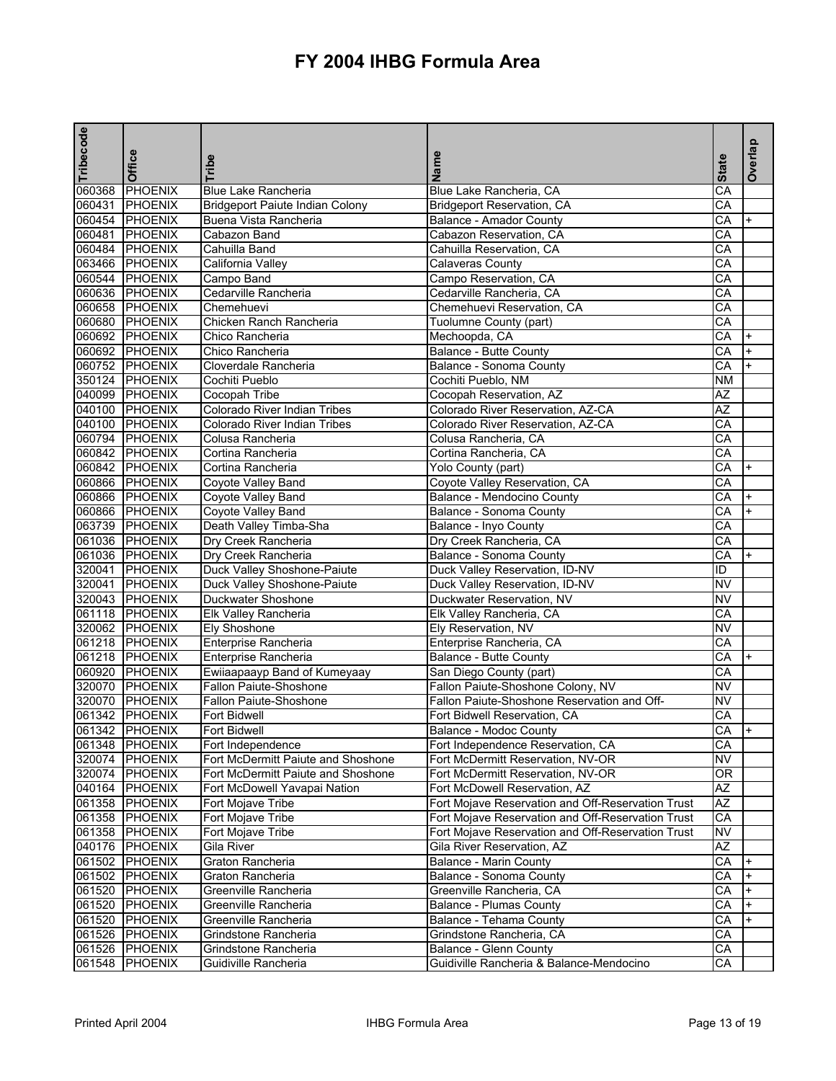| Tribecode | Office         |                                     | Name                                              |                 | Overlap   |
|-----------|----------------|-------------------------------------|---------------------------------------------------|-----------------|-----------|
|           |                | Tribe                               |                                                   | <b>State</b>    |           |
| 060368    | PHOENIX        | <b>Blue Lake Rancheria</b>          | Blue Lake Rancheria, CA                           | CA              |           |
|           | 060431 PHOENIX | Bridgeport Paiute Indian Colony     | Bridgeport Reservation, CA                        | CA              |           |
|           | 060454 PHOENIX | Buena Vista Rancheria               | <b>Balance - Amador County</b>                    | СA              | $\ddot{}$ |
|           | 060481 PHOENIX | Cabazon Band                        | Cabazon Reservation, CA                           | CA              |           |
|           | 060484 PHOENIX | Cahuilla Band                       | Cahuilla Reservation, CA                          | CA              |           |
|           | 063466 PHOENIX | California Valley                   | <b>Calaveras County</b>                           | CA              |           |
|           | 060544 PHOENIX | Campo Band                          | Campo Reservation, CA                             | CA              |           |
|           | 060636 PHOENIX | Cedarville Rancheria                | Cedarville Rancheria, CA                          | CA              |           |
|           | 060658 PHOENIX | Chemehuevi                          | Chemehuevi Reservation, CA                        | CA              |           |
|           | 060680 PHOENIX | Chicken Ranch Rancheria             | Tuolumne County (part)                            | $\overline{CA}$ |           |
|           | 060692 PHOENIX | Chico Rancheria                     | Mechoopda, CA                                     | CA              | $\ddot{}$ |
|           | 060692 PHOENIX | Chico Rancheria                     | <b>Balance - Butte County</b>                     | CA              | $\ddot{}$ |
|           | 060752 PHOENIX | Cloverdale Rancheria                | Balance - Sonoma County                           | CA              |           |
|           | 350124 PHOENIX | Cochiti Pueblo                      | Cochiti Pueblo, NM                                | <b>NM</b>       |           |
|           | 040099 PHOENIX | <b>Cocopah Tribe</b>                | Cocopah Reservation, AZ                           | AZ              |           |
|           | 040100 PHOENIX | Colorado River Indian Tribes        | Colorado River Reservation, AZ-CA                 | $\overline{AZ}$ |           |
|           | 040100 PHOENIX | <b>Colorado River Indian Tribes</b> | Colorado River Reservation, AZ-CA                 | СA              |           |
|           | 060794 PHOENIX | Colusa Rancheria                    | Colusa Rancheria, CA                              | CA              |           |
|           | 060842 PHOENIX | Cortina Rancheria                   | Cortina Rancheria, CA                             | CA              |           |
|           | 060842 PHOENIX | Cortina Rancheria                   | Yolo County (part)                                | CA              | $+$       |
|           | 060866 PHOENIX | Coyote Valley Band                  | Coyote Valley Reservation, CA                     | CA              |           |
|           | 060866 PHOENIX | <b>Coyote Valley Band</b>           | Balance - Mendocino County                        | CA              | $+$       |
|           | 060866 PHOENIX | Coyote Valley Band                  | Balance - Sonoma County                           | CA              | $\ddot{}$ |
|           | 063739 PHOENIX | Death Valley Timba-Sha              | Balance - Inyo County                             | CA              |           |
|           | 061036 PHOENIX | Dry Creek Rancheria                 | Dry Creek Rancheria, CA                           | CA              |           |
|           | 061036 PHOENIX | Dry Creek Rancheria                 | <b>Balance - Sonoma County</b>                    | CA              |           |
|           | 320041 PHOENIX | Duck Valley Shoshone-Paiute         | Duck Valley Reservation, ID-NV                    | ID              |           |
|           | 320041 PHOENIX | Duck Valley Shoshone-Paiute         | Duck Valley Reservation, ID-NV                    | <b>NV</b>       |           |
|           | 320043 PHOENIX | Duckwater Shoshone                  | Duckwater Reservation, NV                         | <b>NV</b>       |           |
|           | 061118 PHOENIX | Elk Valley Rancheria                | Elk Valley Rancheria, CA                          | CA              |           |
|           | 320062 PHOENIX | <b>Ely Shoshone</b>                 | Ely Reservation, NV                               | <b>NV</b>       |           |
|           | 061218 PHOENIX | Enterprise Rancheria                | Enterprise Rancheria, CA                          | CA              |           |
|           | 061218 PHOENIX | Enterprise Rancheria                | Balance - Butte County                            | CA              |           |
|           | 060920 PHOENIX | Ewiiaapaayp Band of Kumeyaay        | San Diego County (part)                           | CA              |           |
|           | 320070 PHOENIX | Fallon Paiute-Shoshone              | Fallon Paiute-Shoshone Colony, NV                 | NV              |           |
|           | 320070 PHOENIX | Fallon Paiute-Shoshone              | Fallon Paiute-Shoshone Reservation and Off-       | <b>NV</b>       |           |
|           | 061342 PHOENIX | <b>Fort Bidwell</b>                 | Fort Bidwell Reservation, CA                      | CA              |           |
|           | 061342 PHOENIX | Fort Bidwell                        | <b>Balance - Modoc County</b>                     | CA              |           |
|           | 061348 PHOENIX | Fort Independence                   | Fort Independence Reservation, CA                 | CA              |           |
|           | 320074 PHOENIX | Fort McDermitt Paiute and Shoshone  | Fort McDermitt Reservation, NV-OR                 | NV              |           |
|           | 320074 PHOENIX | Fort McDermitt Paiute and Shoshone  | Fort McDermitt Reservation, NV-OR                 | 0R              |           |
|           | 040164 PHOENIX | Fort McDowell Yavapai Nation        | Fort McDowell Reservation, AZ                     | AZ              |           |
|           | 061358 PHOENIX | Fort Mojave Tribe                   | Fort Mojave Reservation and Off-Reservation Trust | AZ              |           |
|           | 061358 PHOENIX | Fort Mojave Tribe                   | Fort Mojave Reservation and Off-Reservation Trust | CA              |           |
|           | 061358 PHOENIX | Fort Mojave Tribe                   | Fort Mojave Reservation and Off-Reservation Trust | NV              |           |
|           | 040176 PHOENIX | Gila River                          | Gila River Reservation, AZ                        | AZ              |           |
|           | 061502 PHOENIX | Graton Rancheria                    | <b>Balance - Marin County</b>                     | CA              |           |
|           | 061502 PHOENIX | Graton Rancheria                    | Balance - Sonoma County                           | CA              | $+$       |
|           | 061520 PHOENIX | Greenville Rancheria                | Greenville Rancheria, CA                          | CA              |           |
|           | 061520 PHOENIX | Greenville Rancheria                | <b>Balance - Plumas County</b>                    | CA              |           |
|           | 061520 PHOENIX | Greenville Rancheria                | Balance - Tehama County                           | CA              |           |
|           | 061526 PHOENIX | Grindstone Rancheria                | Grindstone Rancheria, CA                          | CA              |           |
|           | 061526 PHOENIX | Grindstone Rancheria                | Balance - Glenn County                            | СA              |           |
|           | 061548 PHOENIX | Guidiville Rancheria                | Guidiville Rancheria & Balance-Mendocino          | СA              |           |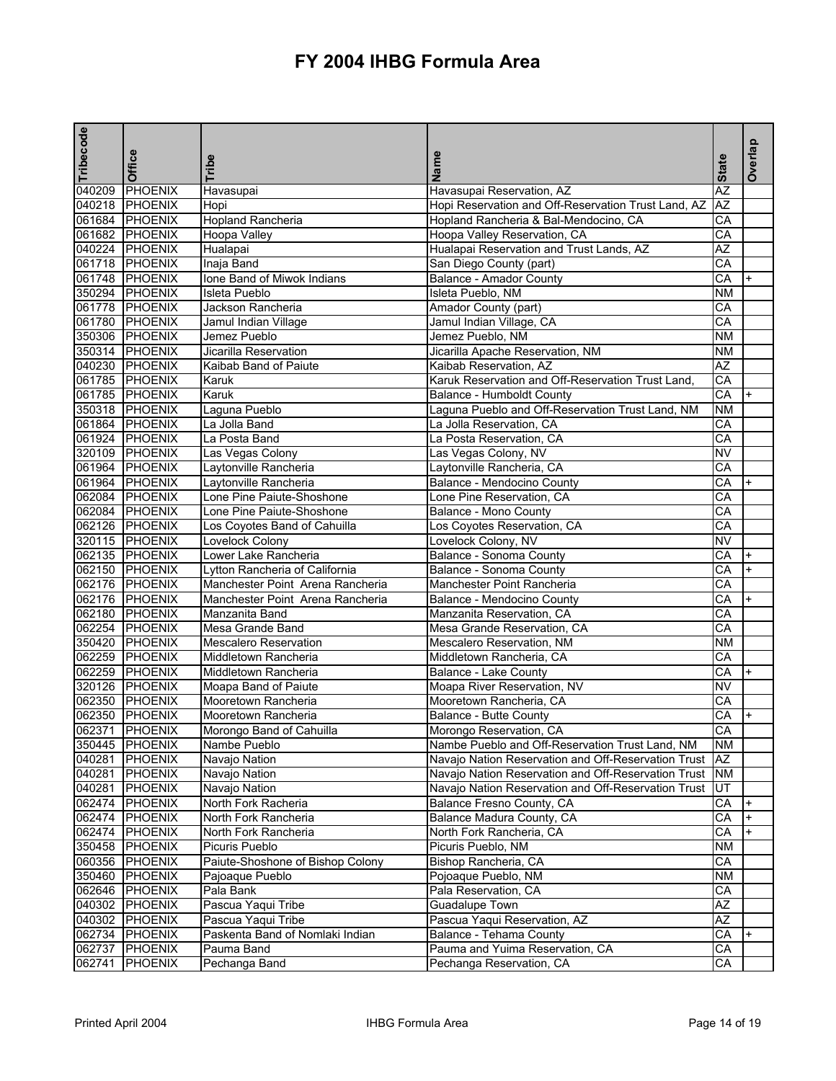| Tribecode | Office         | Tribe                            | Name                                                | <b>State</b>    | Overlap |
|-----------|----------------|----------------------------------|-----------------------------------------------------|-----------------|---------|
| 040209    | PHOENIX        | Havasupai                        | Havasupai Reservation, AZ                           | AZ              |         |
|           | 040218 PHOENIX | Hopi                             | Hopi Reservation and Off-Reservation Trust Land, AZ | ΑZ              |         |
|           | 061684 PHOENIX | <b>Hopland Rancheria</b>         | Hopland Rancheria & Bal-Mendocino, CA               | CА              |         |
|           | 061682 PHOENIX | Hoopa Valley                     | Hoopa Valley Reservation, CA                        | СA              |         |
|           | 040224 PHOENIX | Hualapai                         | Hualapai Reservation and Trust Lands, AZ            | AZ              |         |
|           | 061718 PHOENIX | Inaja Band                       | San Diego County (part)                             | $\overline{CA}$ |         |
|           | 061748 PHOENIX | Ione Band of Miwok Indians       | Balance - Amador County                             | CA              | $+$     |
|           | 350294 PHOENIX | <b>Isleta Pueblo</b>             | Isleta Pueblo, NM                                   | <b>NM</b>       |         |
|           | 061778 PHOENIX | Jackson Rancheria                | Amador County (part)                                | CA              |         |
|           | 061780 PHOENIX | Jamul Indian Village             | Jamul Indian Village, CA                            | CA              |         |
|           | 350306 PHOENIX | Jemez Pueblo                     | Jemez Pueblo, NM                                    | <b>NM</b>       |         |
|           | 350314 PHOENIX | Jicarilla Reservation            | Jicarilla Apache Reservation, NM                    | <b>NM</b>       |         |
|           | 040230 PHOENIX | Kaibab Band of Paiute            | Kaibab Reservation, AZ                              | AZ              |         |
|           | 061785 PHOENIX | Karuk                            | Karuk Reservation and Off-Reservation Trust Land,   | CA              |         |
|           | 061785 PHOENIX | Karuk                            | Balance - Humboldt County                           | CA              |         |
|           | 350318 PHOENIX | Laguna Pueblo                    | Laguna Pueblo and Off-Reservation Trust Land, NM    | <b>NM</b>       |         |
|           | 061864 PHOENIX | La Jolla Band                    | La Jolla Reservation, CA                            | CA              |         |
|           | 061924 PHOENIX | La Posta Band                    | La Posta Reservation, CA                            | CA              |         |
|           | 320109 PHOENIX | Las Vegas Colony                 | Las Vegas Colony, NV                                | <b>NV</b>       |         |
|           | 061964 PHOENIX | Laytonville Rancheria            | Laytonville Rancheria, CA                           | CA              |         |
|           | 061964 PHOENIX | Laytonville Rancheria            | Balance - Mendocino County                          | CA              | $+$     |
|           | 062084 PHOENIX | Lone Pine Paiute-Shoshone        | Lone Pine Reservation, CA                           | СA              |         |
|           | 062084 PHOENIX | Lone Pine Paiute-Shoshone        | Balance - Mono County                               | CA              |         |
|           | 062126 PHOENIX | Los Coyotes Band of Cahuilla     | Los Coyotes Reservation, CA                         | CA              |         |
|           | 320115 PHOENIX | Lovelock Colony                  | Lovelock Colony, NV                                 | <b>NV</b>       |         |
|           | 062135 PHOENIX | Lower Lake Rancheria             | Balance - Sonoma County                             | CA              |         |
|           | 062150 PHOENIX | Lytton Rancheria of California   | Balance - Sonoma County                             | CA              |         |
|           | 062176 PHOENIX | Manchester Point Arena Rancheria | Manchester Point Rancheria                          | CA              |         |
|           | 062176 PHOENIX | Manchester Point Arena Rancheria | Balance - Mendocino County                          | CA              |         |
|           | 062180 PHOENIX | Manzanita Band                   | Manzanita Reservation, CA                           | CA              |         |
|           | 062254 PHOENIX | Mesa Grande Band                 | Mesa Grande Reservation, CA                         | СA              |         |
|           | 350420 PHOENIX | <b>Mescalero Reservation</b>     | Mescalero Reservation, NM                           | ΝM              |         |
|           | 062259 PHOENIX | Middletown Rancheria             | Middletown Rancheria, CA                            | CA              |         |
|           | 062259 PHOENIX | Middletown Rancheria             | Balance - Lake County                               | CA              |         |
|           | 320126 PHOENIX | Moapa Band of Paiute             | Moapa River Reservation, NV                         | <b>NV</b>       |         |
|           | 062350 PHOENIX | Mooretown Rancheria              | Mooretown Rancheria, CA                             | CА              |         |
|           | 062350 PHOENIX | Mooretown Rancheria              | Balance - Butte County                              | CA              | $+$     |
|           | 062371 PHOENIX | Morongo Band of Cahuilla         | Morongo Reservation, CA                             | CA              |         |
|           | 350445 PHOENIX | Nambe Pueblo                     | Nambe Pueblo and Off-Reservation Trust Land, NM     | <b>NM</b>       |         |
|           | 040281 PHOENIX | Navajo Nation                    | Navajo Nation Reservation and Off-Reservation Trust | AZ              |         |
|           | 040281 PHOENIX | Navajo Nation                    | Navajo Nation Reservation and Off-Reservation Trust | NM              |         |
|           | 040281 PHOENIX | Navajo Nation                    | Navajo Nation Reservation and Off-Reservation Trust | UT              |         |
|           | 062474 PHOENIX | North Fork Racheria              | Balance Fresno County, CA                           | CA              |         |
|           | 062474 PHOENIX | North Fork Rancheria             | Balance Madura County, CA                           | CA              |         |
|           | 062474 PHOENIX | North Fork Rancheria             | North Fork Rancheria, CA                            | CA              |         |
|           | 350458 PHOENIX | Picuris Pueblo                   | Picuris Pueblo, NM                                  | <b>NM</b>       |         |
|           | 060356 PHOENIX | Paiute-Shoshone of Bishop Colony | Bishop Rancheria, CA                                | CA              |         |
|           | 350460 PHOENIX | Pajoaque Pueblo                  | Pojoaque Pueblo, NM                                 | <b>NM</b>       |         |
|           | 062646 PHOENIX | Pala Bank                        | Pala Reservation, CA                                | СA              |         |
|           | 040302 PHOENIX | Pascua Yaqui Tribe               | Guadalupe Town                                      | AZ              |         |
|           | 040302 PHOENIX | Pascua Yaqui Tribe               | Pascua Yaqui Reservation, AZ                        | AZ              |         |
|           | 062734 PHOENIX | Paskenta Band of Nomlaki Indian  | Balance - Tehama County                             | CA              |         |
| 062737    | PHOENIX        | Pauma Band                       | Pauma and Yuima Reservation, CA                     | СA              |         |
|           | 062741 PHOENIX | Pechanga Band                    | Pechanga Reservation, CA                            | CA              |         |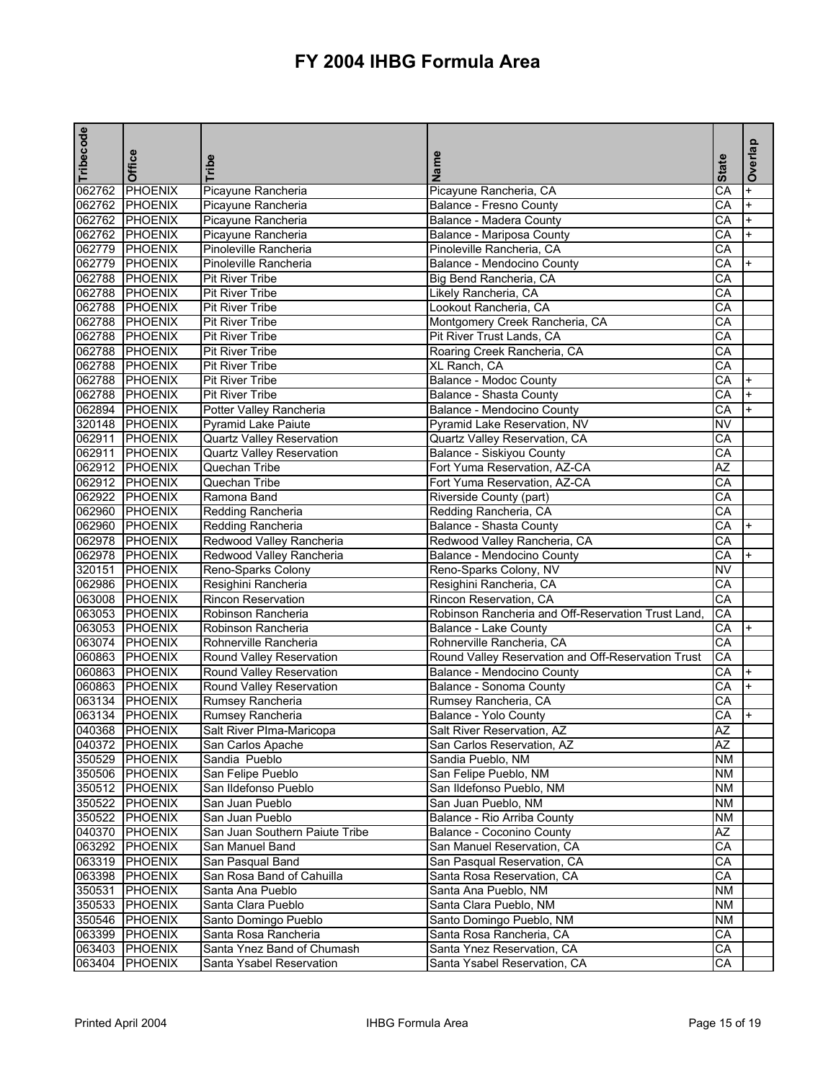| Tribecode | Office         | <b>Tribe</b>                     | Name                                               | <b>State</b>    | Overlap   |
|-----------|----------------|----------------------------------|----------------------------------------------------|-----------------|-----------|
|           |                |                                  |                                                    |                 |           |
|           | 062762 PHOENIX | Picayune Rancheria               | Picayune Rancheria, CA                             | СA              | $\ddot{}$ |
|           | 062762 PHOENIX | Picayune Rancheria               | Balance - Fresno County                            | CА              | $\ddot{}$ |
|           | 062762 PHOENIX | Picayune Rancheria               | Balance - Madera County                            | CA              | $\ddot{}$ |
|           | 062762 PHOENIX | Picayune Rancheria               | Balance - Mariposa County                          | СA              |           |
|           | 062779 PHOENIX | Pinoleville Rancheria            | Pinoleville Rancheria, CA                          | CA              |           |
|           | 062779 PHOENIX | Pinoleville Rancheria            | Balance - Mendocino County                         | CA              |           |
|           | 062788 PHOENIX | <b>Pit River Tribe</b>           | Big Bend Rancheria, CA                             | CA              |           |
|           | 062788 PHOENIX | <b>Pit River Tribe</b>           | Likely Rancheria, CA                               | СA              |           |
|           | 062788 PHOENIX | <b>Pit River Tribe</b>           | Lookout Rancheria, CA                              | CA              |           |
|           | 062788 PHOENIX | <b>Pit River Tribe</b>           | Montgomery Creek Rancheria, CA                     | CA              |           |
|           | 062788 PHOENIX | <b>Pit River Tribe</b>           | Pit River Trust Lands, CA                          | CA              |           |
|           | 062788 PHOENIX | <b>Pit River Tribe</b>           | Roaring Creek Rancheria, CA                        | CA              |           |
|           | 062788 PHOENIX | <b>Pit River Tribe</b>           | XL Ranch, CA                                       | СA              |           |
|           | 062788 PHOENIX | <b>Pit River Tribe</b>           | Balance - Modoc County                             | CA              |           |
|           | 062788 PHOENIX | <b>Pit River Tribe</b>           | Balance - Shasta County                            | CA              |           |
|           | 062894 PHOENIX | Potter Valley Rancheria          | Balance - Mendocino County                         | CA              |           |
|           | 320148 PHOENIX | Pyramid Lake Paiute              | Pyramid Lake Reservation, NV                       | <b>NV</b>       |           |
|           | 062911 PHOENIX | <b>Quartz Valley Reservation</b> | Quartz Valley Reservation, CA                      | CA              |           |
|           | 062911 PHOENIX | Quartz Valley Reservation        | Balance - Siskiyou County                          | CA              |           |
|           | 062912 PHOENIX | Quechan Tribe                    | Fort Yuma Reservation, AZ-CA                       | AZ              |           |
|           | 062912 PHOENIX | Quechan Tribe                    | Fort Yuma Reservation, AZ-CA                       | CA              |           |
|           | 062922 PHOENIX | Ramona Band                      | Riverside County (part)                            | CA              |           |
|           | 062960 PHOENIX | Redding Rancheria                | Redding Rancheria, CA                              | СA              |           |
|           | 062960 PHOENIX | Redding Rancheria                | <b>Balance - Shasta County</b>                     | CA              |           |
|           | 062978 PHOENIX | Redwood Valley Rancheria         | Redwood Valley Rancheria, CA                       | CA              |           |
|           | 062978 PHOENIX | Redwood Valley Rancheria         | Balance - Mendocino County                         | CA              |           |
|           | 320151 PHOENIX | Reno-Sparks Colony               | Reno-Sparks Colony, NV                             | NV              |           |
|           | 062986 PHOENIX | Resighini Rancheria              | Resighini Rancheria, CA                            | СA              |           |
|           | 063008 PHOENIX | Rincon Reservation               | Rincon Reservation, CA                             | CA              |           |
|           | 063053 PHOENIX | Robinson Rancheria               | Robinson Rancheria and Off-Reservation Trust Land  | CA              |           |
|           | 063053 PHOENIX | Robinson Rancheria               | Balance - Lake County                              | CA              | $+$       |
|           | 063074 PHOENIX | Rohnerville Rancheria            | Rohnerville Rancheria, CA                          | CA              |           |
|           | 060863 PHOENIX | Round Valley Reservation         | Round Valley Reservation and Off-Reservation Trust | CA              |           |
|           | 060863 PHOENIX | Round Valley Reservation         | Balance - Mendocino County                         | CA              |           |
|           | 060863 PHOENIX | Round Valley Reservation         | Balance - Sonoma County                            | CA              |           |
|           | 063134 PHOENIX | Rumsey Rancheria                 | Rumsey Rancheria, CA                               | СA              |           |
|           | 063134 PHOENIX | Rumsey Rancheria                 | Balance - Yolo County                              | СA              | $+$       |
|           | 040368 PHOENIX | Salt River PIma-Maricopa         | Salt River Reservation, AZ                         | ΑZ              |           |
|           | 040372 PHOENIX | San Carlos Apache                | San Carlos Reservation, AZ                         | $\overline{AZ}$ |           |
|           | 350529 PHOENIX | Sandia Pueblo                    | Sandia Pueblo, NM                                  | ΝM              |           |
|           | 350506 PHOENIX | San Felipe Pueblo                | San Felipe Pueblo, NM                              | <b>NM</b>       |           |
|           | 350512 PHOENIX | San Ildefonso Pueblo             | San Ildefonso Pueblo, NM                           | NM              |           |
| 350522    | <b>PHOENIX</b> | San Juan Pueblo                  | San Juan Pueblo, NM                                | <b>NM</b>       |           |
| 350522    | <b>PHOENIX</b> | San Juan Pueblo                  | Balance - Rio Arriba County                        | <b>NM</b>       |           |
|           | 040370 PHOENIX | San Juan Southern Paiute Tribe   | Balance - Coconino County                          | ΑZ              |           |
|           | 063292 PHOENIX | San Manuel Band                  | San Manuel Reservation, CA                         | СA              |           |
|           | 063319 PHOENIX | San Pasqual Band                 | San Pasqual Reservation, CA                        | СA              |           |
| 063398    | <b>PHOENIX</b> | San Rosa Band of Cahuilla        | Santa Rosa Reservation, CA                         | СA              |           |
| 350531    | <b>PHOENIX</b> | Santa Ana Pueblo                 | Santa Ana Pueblo, NM                               | <b>NM</b>       |           |
|           | 350533 PHOENIX | Santa Clara Pueblo               | Santa Clara Pueblo, NM                             | <b>NM</b>       |           |
| 350546    | PHOENIX        | Santo Domingo Pueblo             | Santo Domingo Pueblo, NM                           | ΝM              |           |
| 063399    | <b>PHOENIX</b> | Santa Rosa Rancheria             | Santa Rosa Rancheria, CA                           | СA              |           |
| 063403    |                | Santa Ynez Band of Chumash       | Santa Ynez Reservation, CA                         | СA              |           |
|           | <b>PHOENIX</b> |                                  |                                                    |                 |           |
| 063404    | <b>PHOENIX</b> | Santa Ysabel Reservation         | Santa Ysabel Reservation, CA                       | СA              |           |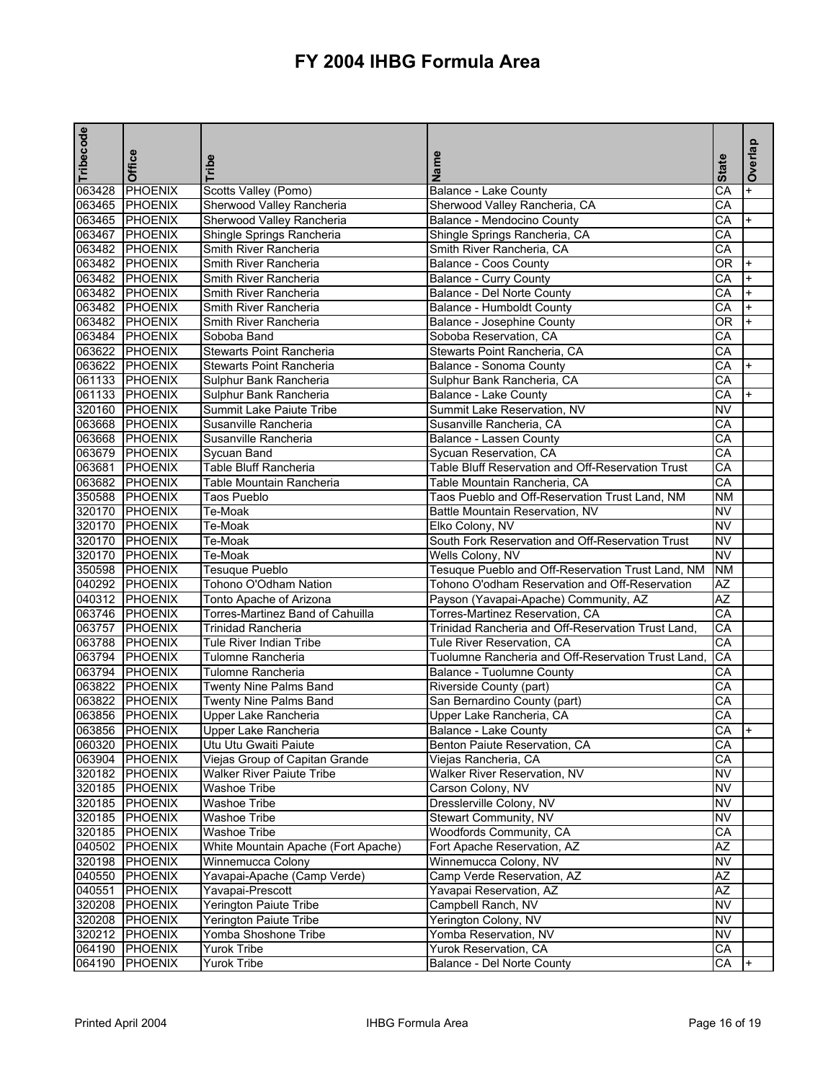| Tribecode | Office         | Tribe                                                 | Name                                               | <b>State</b>           | Overlap   |
|-----------|----------------|-------------------------------------------------------|----------------------------------------------------|------------------------|-----------|
| 063428    | <b>PHOENIX</b> | Scotts Valley (Pomo)                                  | Balance - Lake County                              | CA                     |           |
|           | 063465 PHOENIX | Sherwood Valley Rancheria                             | Sherwood Valley Rancheria, CA                      | CA                     |           |
|           | 063465 PHOENIX | Sherwood Valley Rancheria                             | Balance - Mendocino County                         | СA                     | $\ddot{}$ |
|           | 063467 PHOENIX | Shingle Springs Rancheria                             | Shingle Springs Rancheria, CA                      | СA                     |           |
|           | 063482 PHOENIX | Smith River Rancheria                                 | Smith River Rancheria, CA                          | CA                     |           |
|           | 063482 PHOENIX | Smith River Rancheria                                 | Balance - Coos County                              | 0R                     |           |
|           | 063482 PHOENIX | Smith River Rancheria                                 | <b>Balance - Curry County</b>                      | CA                     | $+$       |
|           | 063482 PHOENIX | Smith River Rancheria                                 | Balance - Del Norte County                         | СA                     |           |
|           | 063482 PHOENIX | Smith River Rancheria                                 | Balance - Humboldt County                          | CA                     | $+$       |
|           | 063482 PHOENIX | Smith River Rancheria                                 | Balance - Josephine County                         | OR.                    |           |
|           | 063484 PHOENIX | Soboba Band                                           | Soboba Reservation, CA                             | CA                     |           |
|           | 063622 PHOENIX | <b>Stewarts Point Rancheria</b>                       | Stewarts Point Rancheria, CA                       | CА                     |           |
|           | 063622 PHOENIX | <b>Stewarts Point Rancheria</b>                       | Balance - Sonoma County                            | СA                     | $+$       |
|           | 061133 PHOENIX | Sulphur Bank Rancheria                                | Sulphur Bank Rancheria, CA                         | CA                     |           |
|           | 061133 PHOENIX | Sulphur Bank Rancheria                                | Balance - Lake County                              | CA                     |           |
|           | 320160 PHOENIX | Summit Lake Paiute Tribe                              | Summit Lake Reservation, NV                        | <b>NV</b>              |           |
|           | 063668 PHOENIX | Susanville Rancheria                                  | Susanville Rancheria, CA                           | СA                     |           |
|           | 063668 PHOENIX | Susanville Rancheria                                  | Balance - Lassen County                            | CA                     |           |
|           | 063679 PHOENIX | Sycuan Band                                           | Sycuan Reservation, CA                             | CA                     |           |
|           | 063681 PHOENIX | <b>Table Bluff Rancheria</b>                          | Table Bluff Reservation and Off-Reservation Trust  | CA                     |           |
|           | 063682 PHOENIX | Table Mountain Rancheria                              | Table Mountain Rancheria, CA                       | CA                     |           |
|           | 350588 PHOENIX | <b>Taos Pueblo</b>                                    | Taos Pueblo and Off-Reservation Trust Land, NM     | ΝM                     |           |
|           | 320170 PHOENIX | Te-Moak                                               | Battle Mountain Reservation, NV                    | <b>NV</b>              |           |
|           | 320170 PHOENIX | Te-Moak                                               | Elko Colony, NV                                    | $\overline{\text{NV}}$ |           |
|           | 320170 PHOENIX | Te-Moak                                               | South Fork Reservation and Off-Reservation Trust   | <b>NV</b>              |           |
|           | 320170 PHOENIX | Te-Moak                                               | Wells Colony, NV                                   | <b>NV</b>              |           |
|           | 350598 PHOENIX | Tesuque Pueblo                                        | Tesuque Pueblo and Off-Reservation Trust Land, NM  | <b>NM</b>              |           |
|           | 040292 PHOENIX | Tohono O'Odham Nation                                 | Tohono O'odham Reservation and Off-Reservation     | <b>AZ</b>              |           |
|           | 040312 PHOENIX | Tonto Apache of Arizona                               | Payson (Yavapai-Apache) Community, AZ              | $\overline{AZ}$        |           |
|           | 063746 PHOENIX | Torres-Martinez Band of Cahuilla                      | Torres-Martinez Reservation, CA                    | CA                     |           |
|           | 063757 PHOENIX | <b>Trinidad Rancheria</b>                             | Trinidad Rancheria and Off-Reservation Trust Land. | CA                     |           |
|           | 063788 PHOENIX | <b>Tule River Indian Tribe</b>                        | Tule River Reservation, CA                         | CA                     |           |
|           | 063794 PHOENIX | <b>Tulomne Rancheria</b>                              | Tuolumne Rancheria and Off-Reservation Trust Land, | CA                     |           |
|           | 063794 PHOENIX | Tulomne Rancheria                                     | Balance - Tuolumne County                          | CA                     |           |
|           | 063822 PHOENIX | <b>Twenty Nine Palms Band</b>                         | Riverside County (part)                            | CА                     |           |
|           | 063822 PHOENIX |                                                       |                                                    | CA                     |           |
|           | 063856 PHOENIX | <b>Twenty Nine Palms Band</b><br>Upper Lake Rancheria | San Bernardino County (part)                       | CA                     |           |
|           |                |                                                       | Upper Lake Rancheria, CA                           |                        | I+        |
|           | 063856 PHOENIX | Upper Lake Rancheria                                  | Balance - Lake County                              | CA                     |           |
|           | 060320 PHOENIX | Utu Utu Gwaiti Paiute                                 | Benton Paiute Reservation, CA                      | CA                     |           |
|           | 063904 PHOENIX | Viejas Group of Capitan Grande                        | Viejas Rancheria, CA                               | CA                     |           |
|           | 320182 PHOENIX | Walker River Paiute Tribe                             | Walker River Reservation, NV                       | <b>NV</b>              |           |
|           | 320185 PHOENIX | <b>Washoe Tribe</b>                                   | Carson Colony, NV                                  | <b>NV</b>              |           |
|           | 320185 PHOENIX | <b>Washoe Tribe</b>                                   | Dresslerville Colony, NV                           | <b>NV</b>              |           |
|           | 320185 PHOENIX | <b>Washoe Tribe</b>                                   | Stewart Community, NV                              | NV                     |           |
|           | 320185 PHOENIX | Washoe Tribe                                          | Woodfords Community, CA                            | СA                     |           |
|           | 040502 PHOENIX | White Mountain Apache (Fort Apache)                   | Fort Apache Reservation, AZ                        | AZ                     |           |
|           | 320198 PHOENIX | Winnemucca Colony                                     | Winnemucca Colony, NV                              | <b>NV</b>              |           |
|           | 040550 PHOENIX | Yavapai-Apache (Camp Verde)                           | Camp Verde Reservation, AZ                         | AZ                     |           |
|           | 040551 PHOENIX | Yavapai-Prescott                                      | Yavapai Reservation, AZ                            | AZ                     |           |
|           | 320208 PHOENIX | Yerington Paiute Tribe                                | Campbell Ranch, NV                                 | <b>NV</b>              |           |
|           | 320208 PHOENIX | Yerington Paiute Tribe                                | Yerington Colony, NV                               | <b>NV</b>              |           |
|           | 320212 PHOENIX | Yomba Shoshone Tribe                                  | Yomba Reservation, NV                              | <b>NV</b>              |           |
|           | 064190 PHOENIX | Yurok Tribe                                           | Yurok Reservation, CA                              | СA                     |           |
|           | 064190 PHOENIX | Yurok Tribe                                           | Balance - Del Norte County                         | СA                     | $+$       |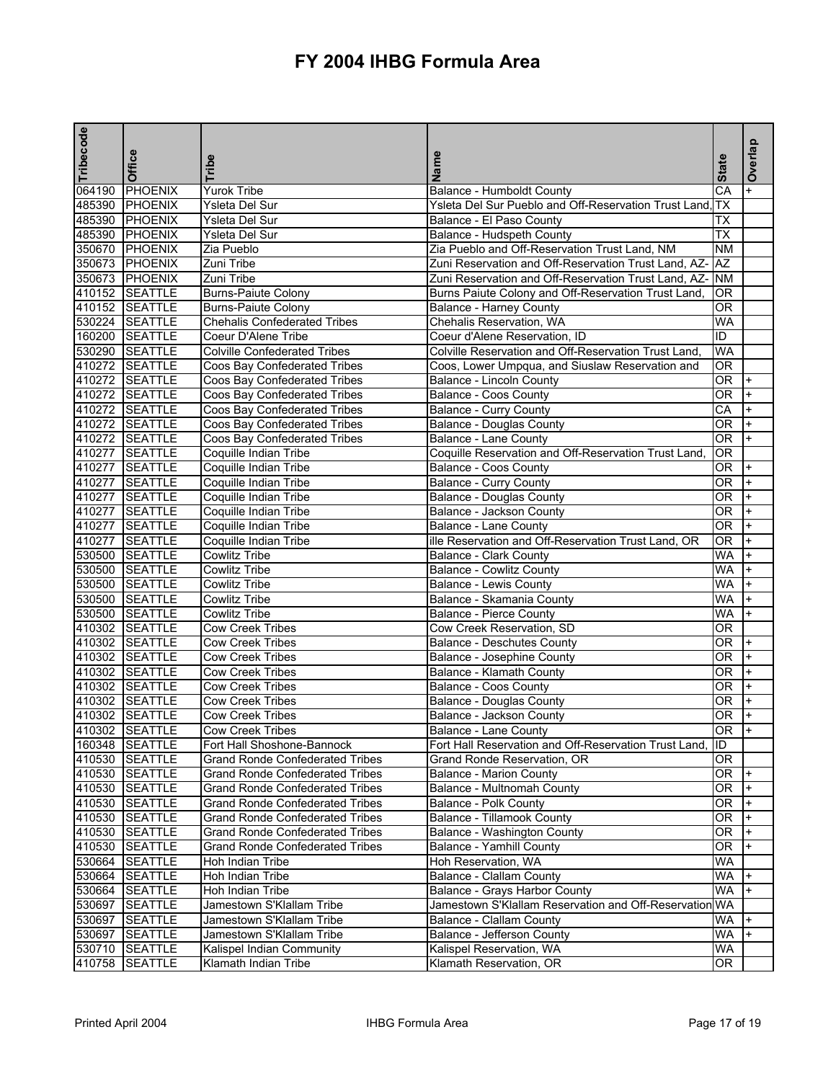| Tribecode | Office         | Tribe                                  | Name                                                     | <b>State</b> | Overlap   |
|-----------|----------------|----------------------------------------|----------------------------------------------------------|--------------|-----------|
|           | 064190 PHOENIX | <b>Yurok Tribe</b>                     | <b>Balance - Humboldt County</b>                         | CA           |           |
|           | 485390 PHOENIX | Ysleta Del Sur                         | Ysleta Del Sur Pueblo and Off-Reservation Trust Land, TX |              |           |
|           | 485390 PHOENIX | Ysleta Del Sur                         | Balance - El Paso County                                 | ТX           |           |
|           | 485390 PHOENIX | Ysleta Del Sur                         | <b>Balance - Hudspeth County</b>                         | <b>TX</b>    |           |
|           | 350670 PHOENIX | Zia Pueblo                             | Zia Pueblo and Off-Reservation Trust Land, NM            | <b>NM</b>    |           |
|           | 350673 PHOENIX | Zuni Tribe                             | Zuni Reservation and Off-Reservation Trust Land, AZ-     | <b>AZ</b>    |           |
|           | 350673 PHOENIX | Zuni Tribe                             | Zuni Reservation and Off-Reservation Trust Land, AZ-     | <b>NM</b>    |           |
|           | 410152 SEATTLE | <b>Burns-Paiute Colony</b>             | Burns Paiute Colony and Off-Reservation Trust Land,      | <b>OR</b>    |           |
|           | 410152 SEATTLE | <b>Burns-Paiute Colony</b>             | <b>Balance - Harney County</b>                           | 0R           |           |
|           | 530224 SEATTLE | <b>Chehalis Confederated Tribes</b>    | Chehalis Reservation, WA                                 | <b>WA</b>    |           |
|           | 160200 SEATTLE | Coeur D'Alene Tribe                    | Coeur d'Alene Reservation, ID                            | ID           |           |
|           | 530290 SEATTLE | <b>Colville Confederated Tribes</b>    | Colville Reservation and Off-Reservation Trust Land,     | <b>WA</b>    |           |
|           | 410272 SEATTLE | Coos Bay Confederated Tribes           | Coos, Lower Umpqua, and Siuslaw Reservation and          | 0R           |           |
|           | 410272 SEATTLE | <b>Coos Bay Confederated Tribes</b>    | <b>Balance - Lincoln County</b>                          | OR.          | $+$       |
|           | 410272 SEATTLE | Coos Bay Confederated Tribes           | <b>Balance - Coos County</b>                             | 0R           |           |
|           | 410272 SEATTLE | <b>Coos Bay Confederated Tribes</b>    | <b>Balance - Curry County</b>                            | CA           |           |
|           | 410272 SEATTLE | <b>Coos Bay Confederated Tribes</b>    | <b>Balance - Douglas County</b>                          | 0R           |           |
|           | 410272 SEATTLE | Coos Bay Confederated Tribes           | Balance - Lane County                                    | 0R           |           |
|           | 410277 SEATTLE | Coquille Indian Tribe                  | Coquille Reservation and Off-Reservation Trust Land,     | <b>OR</b>    |           |
|           | 410277 SEATTLE | Coquille Indian Tribe                  | Balance - Coos County                                    | <b>OR</b>    |           |
|           | 410277 SEATTLE | Coquille Indian Tribe                  | <b>Balance - Curry County</b>                            | <b>OR</b>    | $\ddot{}$ |
|           | 410277 SEATTLE | Coquille Indian Tribe                  | Balance - Douglas County                                 | 0R           |           |
|           | 410277 SEATTLE | Coquille Indian Tribe                  | Balance - Jackson County                                 | 0R           |           |
|           | 410277 SEATTLE | Coquille Indian Tribe                  | Balance - Lane County                                    | 0R           | $+$       |
|           | 410277 SEATTLE | Coquille Indian Tribe                  | ille Reservation and Off-Reservation Trust Land, OR      | 0R           | $+$       |
|           | 530500 SEATTLE | <b>Cowlitz Tribe</b>                   | Balance - Clark County                                   | <b>WA</b>    | $+$       |
|           | 530500 SEATTLE | <b>Cowlitz Tribe</b>                   | <b>Balance - Cowlitz County</b>                          | <b>WA</b>    |           |
|           | 530500 SEATTLE | Cowlitz Tribe                          | <b>Balance - Lewis County</b>                            | <b>WA</b>    | $+$       |
|           | 530500 SEATTLE | Cowlitz Tribe                          | Balance - Skamania County                                | <b>WA</b>    |           |
|           | 530500 SEATTLE | <b>Cowlitz Tribe</b>                   | <b>Balance - Pierce County</b>                           | <b>WA</b>    |           |
|           | 410302 SEATTLE | <b>Cow Creek Tribes</b>                | Cow Creek Reservation, SD                                | 0R           |           |
|           | 410302 SEATTLE | <b>Cow Creek Tribes</b>                | <b>Balance - Deschutes County</b>                        | 0R           |           |
|           | 410302 SEATTLE | <b>Cow Creek Tribes</b>                | Balance - Josephine County                               | 0R           | $+$       |
|           | 410302 SEATTLE | <b>Cow Creek Tribes</b>                | Balance - Klamath County                                 | 0R           | $+$       |
|           | 410302 SEATTLE | <b>Cow Creek Tribes</b>                | <b>Balance - Coos County</b>                             | 0R           | $+$       |
|           | 410302 SEATTLE | <b>Cow Creek Tribes</b>                | <b>Balance - Douglas County</b>                          | 0R           |           |
|           | 410302 SEATTLE | Cow Creek Tribes                       | Balance - Jackson County                                 | 0R           | $+$       |
|           | 410302 SEATTLE | <b>Cow Creek Tribes</b>                | Balance - Lane County                                    | OR           |           |
|           | 160348 SEATTLE | Fort Hall Shoshone-Bannock             | Fort Hall Reservation and Off-Reservation Trust Land,    | ID           |           |
|           | 410530 SEATTLE | <b>Grand Ronde Confederated Tribes</b> | Grand Ronde Reservation, OR                              | OR.          |           |
|           | 410530 SEATTLE | <b>Grand Ronde Confederated Tribes</b> | <b>Balance - Marion County</b>                           | OR           |           |
|           | 410530 SEATTLE | <b>Grand Ronde Confederated Tribes</b> | <b>Balance - Multnomah County</b>                        | OR.          |           |
|           | 410530 SEATTLE | <b>Grand Ronde Confederated Tribes</b> | Balance - Polk County                                    | 0R           |           |
|           | 410530 SEATTLE | <b>Grand Ronde Confederated Tribes</b> | <b>Balance - Tillamook County</b>                        | 0R           |           |
|           | 410530 SEATTLE | <b>Grand Ronde Confederated Tribes</b> | Balance - Washington County                              | OR.          |           |
|           | 410530 SEATTLE | <b>Grand Ronde Confederated Tribes</b> | Balance - Yamhill County                                 | 0R           |           |
|           | 530664 SEATTLE | Hoh Indian Tribe                       | Hoh Reservation, WA                                      | WA.          |           |
|           | 530664 SEATTLE | Hoh Indian Tribe                       | Balance - Clallam County                                 | <b>WA</b>    |           |
|           | 530664 SEATTLE | Hoh Indian Tribe                       | Balance - Grays Harbor County                            | WA.          |           |
|           | 530697 SEATTLE | Jamestown S'Klallam Tribe              | Jamestown S'Klallam Reservation and Off-Reservation WA   |              |           |
|           |                |                                        |                                                          |              |           |
| 530697    | SEATTLE        | Jamestown S'Klallam Tribe              | Balance - Clallam County                                 | WA           |           |
|           | 530697 SEATTLE | Jamestown S'Klallam Tribe              | Balance - Jefferson County                               | <b>WA</b>    |           |
|           | 530710 SEATTLE | Kalispel Indian Community              | Kalispel Reservation, WA                                 | WA           |           |
| 410758    | <b>SEATTLE</b> | Klamath Indian Tribe                   | Klamath Reservation, OR                                  | OR.          |           |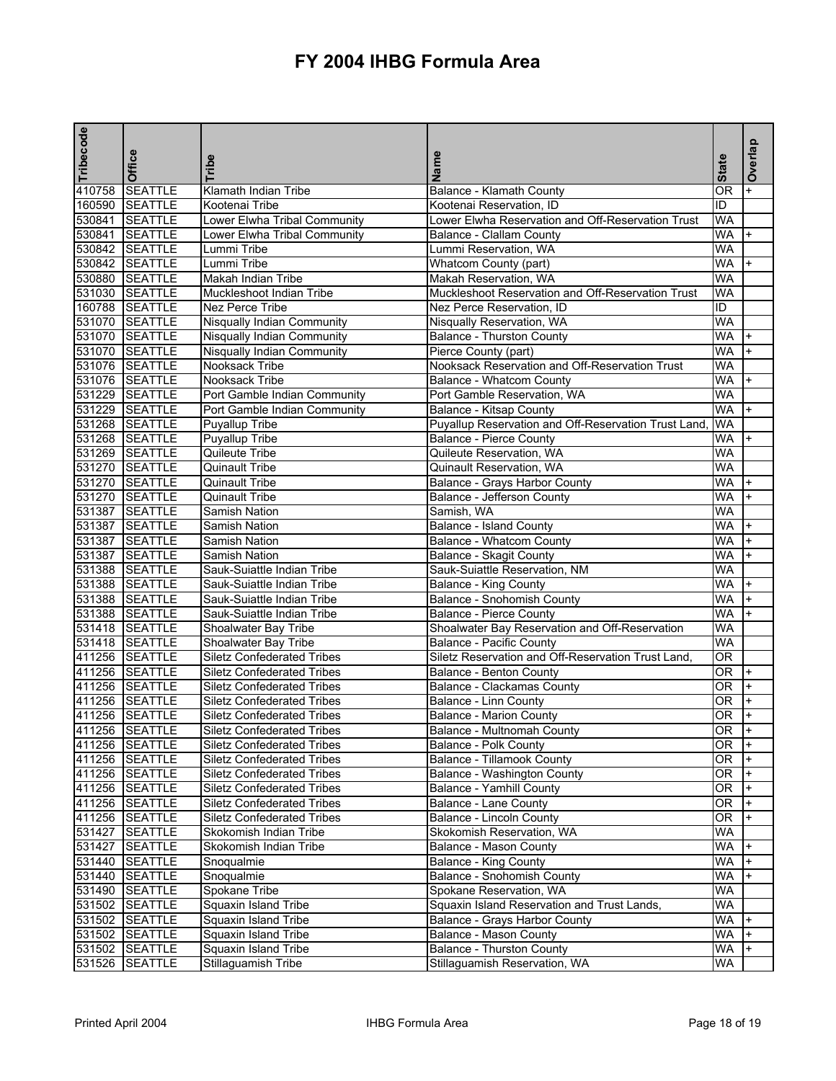| Tribecode | Office         | Tribe                             | Name                                                 | <b>State</b>    | Overlap        |
|-----------|----------------|-----------------------------------|------------------------------------------------------|-----------------|----------------|
| 410758    | <b>SEATTLE</b> | Klamath Indian Tribe              | <b>Balance - Klamath County</b>                      | 0R              |                |
| 160590    | <b>SEATTLE</b> | Kootenai Tribe                    | Kootenai Reservation, ID                             | ID              |                |
|           | 530841 SEATTLE | Lower Elwha Tribal Community      | Lower Elwha Reservation and Off-Reservation Trust    | <b>WA</b>       |                |
|           | 530841 SEATTLE | Lower Elwha Tribal Community      | Balance - Clallam County                             | <b>WA</b>       | $+$            |
|           | 530842 SEATTLE | Lummi Tribe                       | Lummi Reservation, WA                                | <b>WA</b>       |                |
|           | 530842 SEATTLE | Lummi Tribe                       | Whatcom County (part)                                | <b>WA</b>       |                |
|           | 530880 SEATTLE | <b>Makah Indian Tribe</b>         | Makah Reservation, WA                                | <b>WA</b>       |                |
|           | 531030 SEATTLE | Muckleshoot Indian Tribe          | Muckleshoot Reservation and Off-Reservation Trust    | WA              |                |
|           | 160788 SEATTLE | Nez Perce Tribe                   | Nez Perce Reservation, ID                            | ID              |                |
|           | 531070 SEATTLE | <b>Nisqually Indian Community</b> | Nisqually Reservation, WA                            | <b>WA</b>       |                |
|           | 531070 SEATTLE | <b>Nisqually Indian Community</b> | <b>Balance - Thurston County</b>                     | <b>WA</b>       | $+$            |
|           | 531070 SEATTLE | Nisqually Indian Community        | Pierce County (part)                                 | <b>WA</b>       |                |
|           | 531076 SEATTLE | Nooksack Tribe                    | Nooksack Reservation and Off-Reservation Trust       | <b>WA</b>       |                |
|           | 531076 SEATTLE | Nooksack Tribe                    | <b>Balance - Whatcom County</b>                      | <b>WA</b>       |                |
|           | 531229 SEATTLE | Port Gamble Indian Community      | Port Gamble Reservation, WA                          | <b>WA</b>       |                |
|           | 531229 SEATTLE | Port Gamble Indian Community      | Balance - Kitsap County                              | <b>WA</b>       |                |
|           | 531268 SEATTLE | Puyallup Tribe                    | Puyallup Reservation and Off-Reservation Trust Land, | WA              |                |
|           | 531268 SEATTLE | <b>Puyallup Tribe</b>             | <b>Balance - Pierce County</b>                       | <b>WA</b>       | $\ddot{}$      |
|           | 531269 SEATTLE | Quileute Tribe                    | Quileute Reservation, WA                             | WA              |                |
|           | 531270 SEATTLE | Quinault Tribe                    | Quinault Reservation, WA                             | <b>WA</b>       |                |
|           | 531270 SEATTLE | <b>Quinault Tribe</b>             | Balance - Grays Harbor County                        | <b>WA</b>       |                |
|           | 531270 SEATTLE | <b>Quinault Tribe</b>             | Balance - Jefferson County                           | <b>WA</b>       | $+$            |
|           | 531387 SEATTLE | Samish Nation                     | Samish, WA                                           | WA              |                |
|           | 531387 SEATTLE | Samish Nation                     | <b>Balance - Island County</b>                       | <b>WA</b>       |                |
|           | 531387 SEATTLE | Samish Nation                     | <b>Balance - Whatcom County</b>                      | <b>WA</b>       | $+$            |
|           | 531387 SEATTLE | Samish Nation                     | Balance - Skagit County                              | <b>WA</b>       |                |
|           | 531388 SEATTLE | Sauk-Suiattle Indian Tribe        | Sauk-Suiattle Reservation, NM                        | <b>WA</b>       |                |
|           | 531388 SEATTLE | Sauk-Suiattle Indian Tribe        | Balance - King County                                | <b>WA</b>       | $+$            |
|           | 531388 SEATTLE | Sauk-Suiattle Indian Tribe        | Balance - Snohomish County                           | <b>WA</b>       | $+$            |
|           | 531388 SEATTLE | Sauk-Suiattle Indian Tribe        | <b>Balance - Pierce County</b>                       | <b>WA</b>       | $+$            |
|           | 531418 SEATTLE | Shoalwater Bay Tribe              | Shoalwater Bay Reservation and Off-Reservation       | <b>WA</b>       |                |
|           | 531418 SEATTLE | Shoalwater Bay Tribe              | <b>Balance - Pacific County</b>                      | <b>WA</b>       |                |
|           | 411256 SEATTLE | <b>Siletz Confederated Tribes</b> | Siletz Reservation and Off-Reservation Trust Land,   | $\overline{OR}$ |                |
|           | 411256 SEATTLE | <b>Siletz Confederated Tribes</b> | Balance - Benton County                              | OR.             | $+$            |
|           | 411256 SEATTLE | <b>Siletz Confederated Tribes</b> | Balance - Clackamas County                           | OR.             | $+$            |
|           | 411256 SEATTLE | <b>Siletz Confederated Tribes</b> |                                                      | 0R              | $+$            |
|           | 411256 SEATTLE |                                   | Balance - Linn County                                | 0R              | $+$            |
|           |                | <b>Siletz Confederated Tribes</b> | <b>Balance - Marion County</b>                       |                 | $\mathbf{I}$   |
|           | 411256 SEATTLE | <b>Siletz Confederated Tribes</b> | Balance - Multnomah County                           | OR              |                |
|           | 411256 SEATTLE | <b>Siletz Confederated Tribes</b> | Balance - Polk County                                | 0R              | $\mathsf{I}^+$ |
|           | 411256 SEATTLE | <b>Siletz Confederated Tribes</b> | <b>Balance - Tillamook County</b>                    | OR              |                |
|           | 411256 SEATTLE | <b>Siletz Confederated Tribes</b> | <b>Balance - Washington County</b>                   | 0R              |                |
|           | 411256 SEATTLE | <b>Siletz Confederated Tribes</b> | Balance - Yamhill County                             | 0R              |                |
|           | 411256 SEATTLE | <b>Siletz Confederated Tribes</b> | Balance - Lane County                                | 0R              |                |
|           | 411256 SEATTLE | <b>Siletz Confederated Tribes</b> | <b>Balance - Lincoln County</b>                      | OR              |                |
|           | 531427 SEATTLE | Skokomish Indian Tribe            | Skokomish Reservation, WA                            | WA              |                |
|           | 531427 SEATTLE | Skokomish Indian Tribe            | <b>Balance - Mason County</b>                        | WA.             |                |
|           | 531440 SEATTLE | Snoqualmie                        | <b>Balance - King County</b>                         | WA              |                |
|           | 531440 SEATTLE | Snoqualmie                        | <b>Balance - Snohomish County</b>                    | WA.             | I+             |
|           | 531490 SEATTLE | Spokane Tribe                     | Spokane Reservation, WA                              | WA.             |                |
|           | 531502 SEATTLE | Squaxin Island Tribe              | Squaxin Island Reservation and Trust Lands,          | <b>WA</b>       |                |
|           | 531502 SEATTLE | Squaxin Island Tribe              | Balance - Grays Harbor County                        | WA.             |                |
|           | 531502 SEATTLE | Squaxin Island Tribe              | Balance - Mason County                               | <b>WA</b>       |                |
|           | 531502 SEATTLE | Squaxin Island Tribe              | Balance - Thurston County                            | WA              |                |
|           | 531526 SEATTLE | Stillaguamish Tribe               | Stillaguamish Reservation, WA                        | WA              |                |